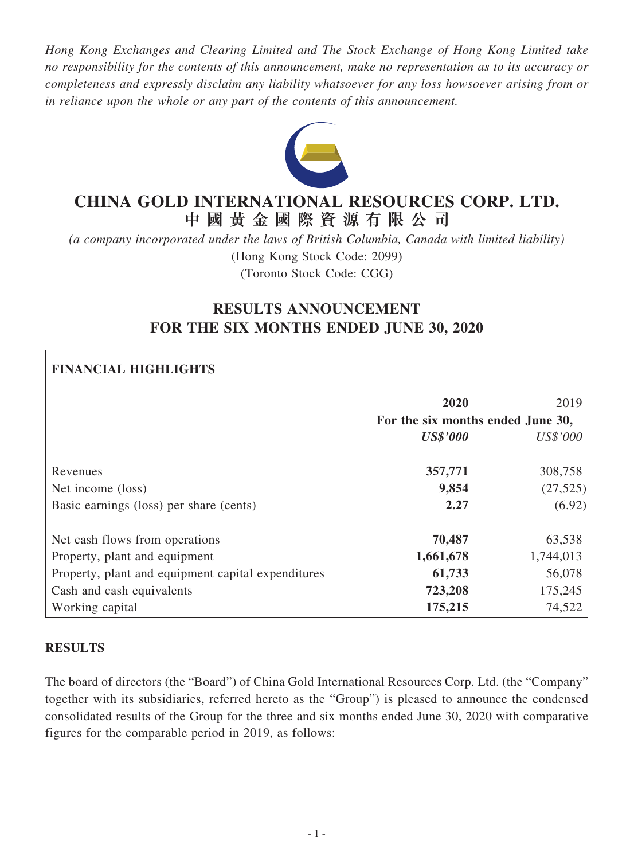*Hong Kong Exchanges and Clearing Limited and The Stock Exchange of Hong Kong Limited take no responsibility for the contents of this announcement, make no representation as to its accuracy or completeness and expressly disclaim any liability whatsoever for any loss howsoever arising from or in reliance upon the whole or any part of the contents of this announcement.*



# **CHINA GOLD INTERNATIONAL RESOURCES CORP. LTD. 中 國 黃 金 國 際 資 源 有 限 公 司**

*(a company incorporated under the laws of British Columbia, Canada with limited liability)* (Hong Kong Stock Code: 2099) (Toronto Stock Code: CGG)

# **RESULTS ANNOUNCEMENT FOR THE SIX MONTHS ENDED JUNE 30, 2020**

# **FINANCIAL HIGHLIGHTS**

|                                                    | 2020<br>For the six months ended June 30, | 2019      |
|----------------------------------------------------|-------------------------------------------|-----------|
|                                                    | <b>US\$'000</b>                           | US\$'000  |
| Revenues                                           | 357,771                                   | 308,758   |
| Net income (loss)                                  | 9,854                                     | (27, 525) |
| Basic earnings (loss) per share (cents)            | 2.27                                      | (6.92)    |
| Net cash flows from operations                     | 70,487                                    | 63,538    |
| Property, plant and equipment                      | 1,661,678                                 | 1,744,013 |
| Property, plant and equipment capital expenditures | 61,733                                    | 56,078    |
| Cash and cash equivalents                          | 723,208                                   | 175,245   |
| Working capital                                    | 175,215                                   | 74,522    |

# **RESULTS**

The board of directors (the "Board") of China Gold International Resources Corp. Ltd. (the "Company" together with its subsidiaries, referred hereto as the "Group") is pleased to announce the condensed consolidated results of the Group for the three and six months ended June 30, 2020 with comparative figures for the comparable period in 2019, as follows: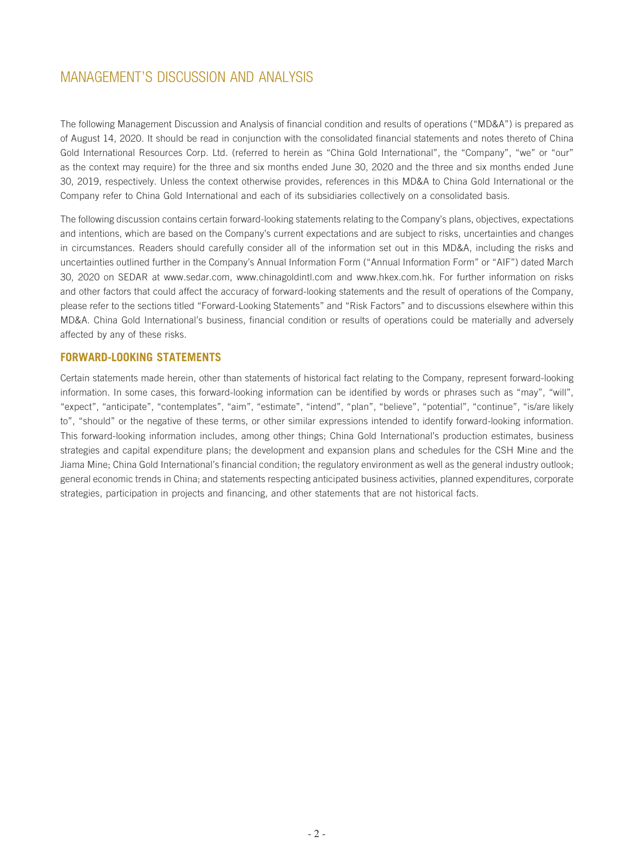The following Management Discussion and Analysis of financial condition and results of operations ("MD&A") is prepared as of August 14, 2020. It should be read in conjunction with the consolidated financial statements and notes thereto of China Gold International Resources Corp. Ltd. (referred to herein as "China Gold International", the "Company", "we" or "our" as the context may require) for the three and six months ended June 30, 2020 and the three and six months ended June 30, 2019, respectively. Unless the context otherwise provides, references in this MD&A to China Gold International or the Company refer to China Gold International and each of its subsidiaries collectively on a consolidated basis.

The following discussion contains certain forward-looking statements relating to the Company's plans, objectives, expectations and intentions, which are based on the Company's current expectations and are subject to risks, uncertainties and changes in circumstances. Readers should carefully consider all of the information set out in this MD&A, including the risks and uncertainties outlined further in the Company's Annual Information Form ("Annual Information Form" or "AIF") dated March 30, 2020 on SEDAR at www.sedar.com, www.chinagoldintl.com and www.hkex.com.hk. For further information on risks and other factors that could affect the accuracy of forward-looking statements and the result of operations of the Company, please refer to the sections titled "Forward-Looking Statements" and "Risk Factors" and to discussions elsewhere within this MD&A. China Gold International's business, financial condition or results of operations could be materially and adversely affected by any of these risks.

## **FORWARD-LOOKING STATEMENTS**

Certain statements made herein, other than statements of historical fact relating to the Company, represent forward-looking information. In some cases, this forward-looking information can be identified by words or phrases such as "may", "will", "expect", "anticipate", "contemplates", "aim", "estimate", "intend", "plan", "believe", "potential", "continue", "is/are likely to", "should" or the negative of these terms, or other similar expressions intended to identify forward-looking information. This forward-looking information includes, among other things; China Gold International's production estimates, business strategies and capital expenditure plans; the development and expansion plans and schedules for the CSH Mine and the Jiama Mine; China Gold International's financial condition; the regulatory environment as well as the general industry outlook; general economic trends in China; and statements respecting anticipated business activities, planned expenditures, corporate strategies, participation in projects and financing, and other statements that are not historical facts.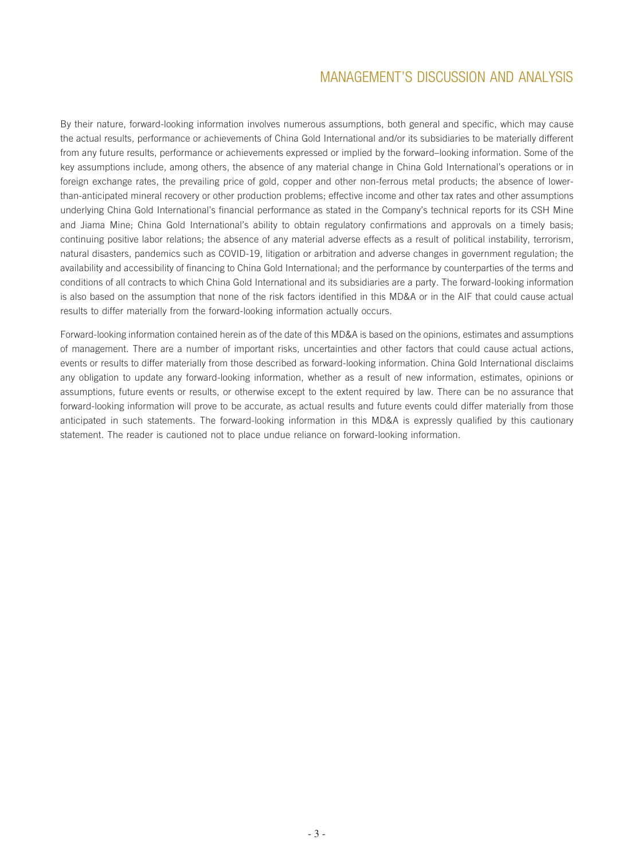By their nature, forward-looking information involves numerous assumptions, both general and specific, which may cause the actual results, performance or achievements of China Gold International and/or its subsidiaries to be materially different from any future results, performance or achievements expressed or implied by the forward–looking information. Some of the key assumptions include, among others, the absence of any material change in China Gold International's operations or in foreign exchange rates, the prevailing price of gold, copper and other non-ferrous metal products; the absence of lowerthan-anticipated mineral recovery or other production problems; effective income and other tax rates and other assumptions underlying China Gold International's financial performance as stated in the Company's technical reports for its CSH Mine and Jiama Mine; China Gold International's ability to obtain regulatory confirmations and approvals on a timely basis; continuing positive labor relations; the absence of any material adverse effects as a result of political instability, terrorism, natural disasters, pandemics such as COVID-19, litigation or arbitration and adverse changes in government regulation; the availability and accessibility of financing to China Gold International; and the performance by counterparties of the terms and conditions of all contracts to which China Gold International and its subsidiaries are a party. The forward-looking information is also based on the assumption that none of the risk factors identified in this MD&A or in the AIF that could cause actual results to differ materially from the forward-looking information actually occurs.

Forward-looking information contained herein as of the date of this MD&A is based on the opinions, estimates and assumptions of management. There are a number of important risks, uncertainties and other factors that could cause actual actions, events or results to differ materially from those described as forward-looking information. China Gold International disclaims any obligation to update any forward-looking information, whether as a result of new information, estimates, opinions or assumptions, future events or results, or otherwise except to the extent required by law. There can be no assurance that forward-looking information will prove to be accurate, as actual results and future events could differ materially from those anticipated in such statements. The forward-looking information in this MD&A is expressly qualified by this cautionary statement. The reader is cautioned not to place undue reliance on forward-looking information.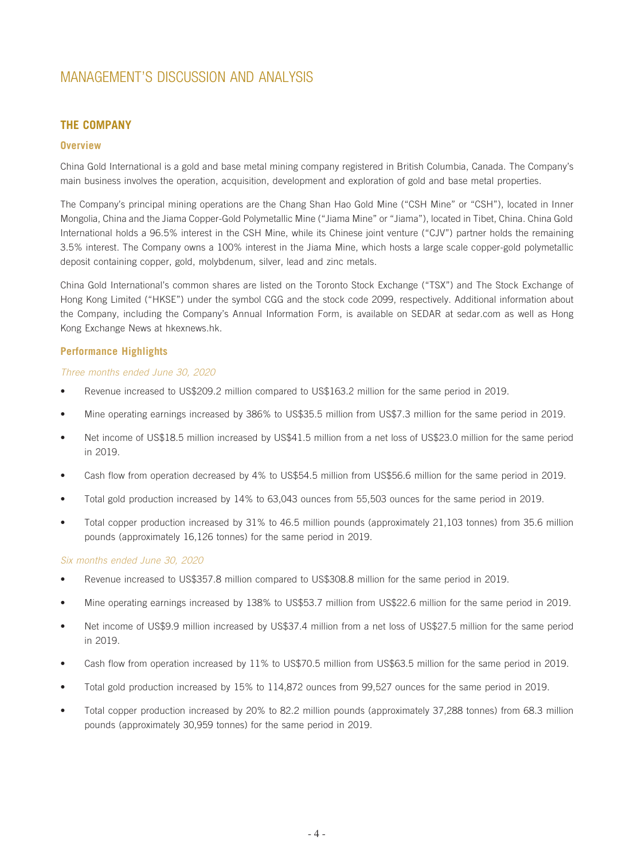## **THE COMPANY**

#### **Overview**

China Gold International is a gold and base metal mining company registered in British Columbia, Canada. The Company's main business involves the operation, acquisition, development and exploration of gold and base metal properties.

The Company's principal mining operations are the Chang Shan Hao Gold Mine ("CSH Mine" or "CSH"), located in Inner Mongolia, China and the Jiama Copper-Gold Polymetallic Mine ("Jiama Mine" or "Jiama"), located in Tibet, China. China Gold International holds a 96.5% interest in the CSH Mine, while its Chinese joint venture ("CJV") partner holds the remaining 3.5% interest. The Company owns a 100% interest in the Jiama Mine, which hosts a large scale copper-gold polymetallic deposit containing copper, gold, molybdenum, silver, lead and zinc metals.

China Gold International's common shares are listed on the Toronto Stock Exchange ("TSX") and The Stock Exchange of Hong Kong Limited ("HKSE") under the symbol CGG and the stock code 2099, respectively. Additional information about the Company, including the Company's Annual Information Form, is available on SEDAR at sedar.com as well as Hong Kong Exchange News at hkexnews.hk.

#### **Performance Highlights**

#### *Three months ended June 30, 2020*

- Revenue increased to US\$209.2 million compared to US\$163.2 million for the same period in 2019.
- Mine operating earnings increased by 386% to US\$35.5 million from US\$7.3 million for the same period in 2019.
- Net income of US\$18.5 million increased by US\$41.5 million from a net loss of US\$23.0 million for the same period in 2019.
- Cash flow from operation decreased by 4% to US\$54.5 million from US\$56.6 million for the same period in 2019.
- Total gold production increased by 14% to 63,043 ounces from 55,503 ounces for the same period in 2019.
- Total copper production increased by 31% to 46.5 million pounds (approximately 21,103 tonnes) from 35.6 million pounds (approximately 16,126 tonnes) for the same period in 2019.

#### *Six months ended June 30, 2020*

- Revenue increased to US\$357.8 million compared to US\$308.8 million for the same period in 2019.
- Mine operating earnings increased by 138% to US\$53.7 million from US\$22.6 million for the same period in 2019.
- Net income of US\$9.9 million increased by US\$37.4 million from a net loss of US\$27.5 million for the same period in 2019.
- Cash flow from operation increased by 11% to US\$70.5 million from US\$63.5 million for the same period in 2019.
- Total gold production increased by 15% to 114,872 ounces from 99,527 ounces for the same period in 2019.
- Total copper production increased by 20% to 82.2 million pounds (approximately 37,288 tonnes) from 68.3 million pounds (approximately 30,959 tonnes) for the same period in 2019.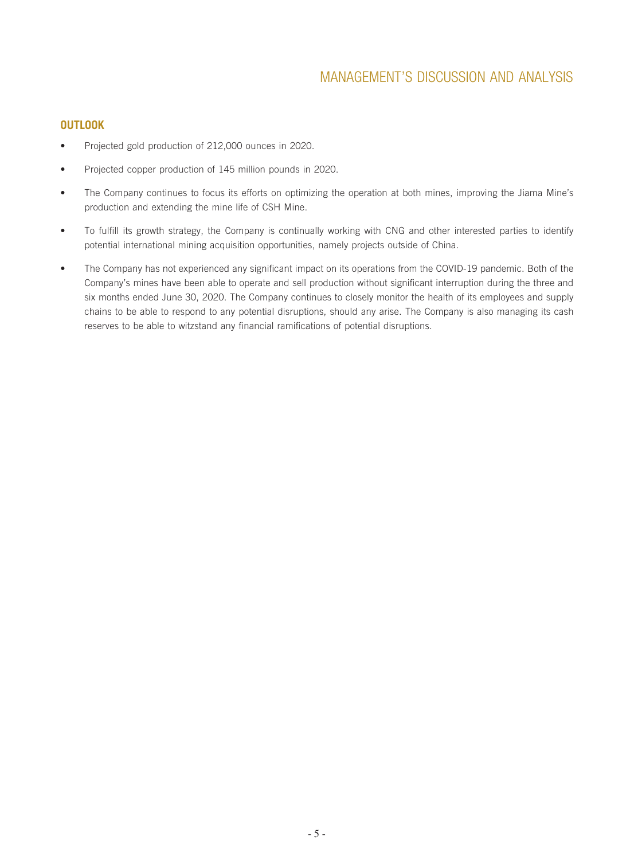## **OUTLOOK**

- Projected gold production of 212,000 ounces in 2020.
- Projected copper production of 145 million pounds in 2020.
- The Company continues to focus its efforts on optimizing the operation at both mines, improving the Jiama Mine's production and extending the mine life of CSH Mine.
- To fulfill its growth strategy, the Company is continually working with CNG and other interested parties to identify potential international mining acquisition opportunities, namely projects outside of China.
- The Company has not experienced any significant impact on its operations from the COVID-19 pandemic. Both of the Company's mines have been able to operate and sell production without significant interruption during the three and six months ended June 30, 2020. The Company continues to closely monitor the health of its employees and supply chains to be able to respond to any potential disruptions, should any arise. The Company is also managing its cash reserves to be able to witzstand any financial ramifications of potential disruptions.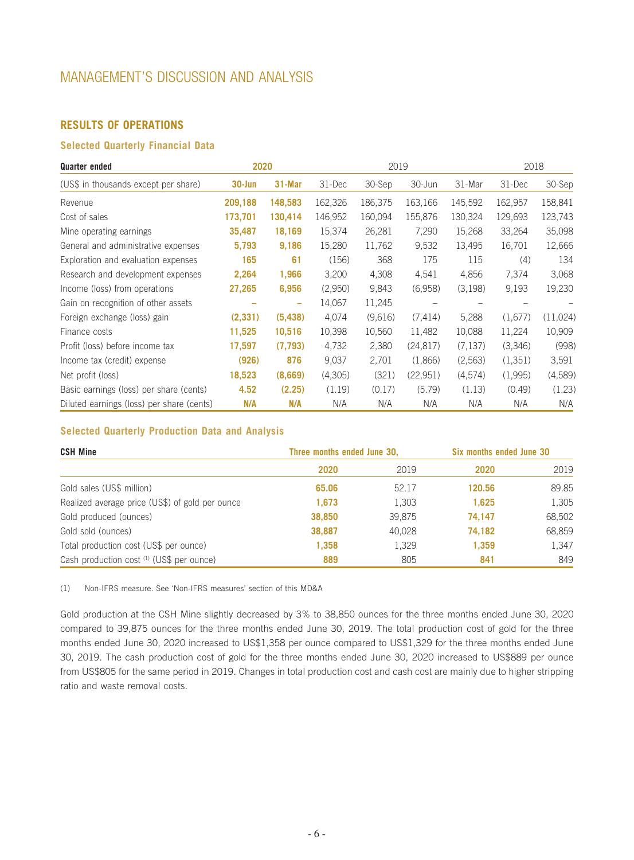## **RESULTS OF OPERATIONS**

## **Selected Quarterly Financial Data**

| <b>Quarter ended</b>                      | 2020       |                          |         | 2019    |           |         | 2018    |          |
|-------------------------------------------|------------|--------------------------|---------|---------|-----------|---------|---------|----------|
| (US\$ in thousands except per share)      | $30 - Jun$ | 31-Mar                   | 31-Dec  | 30-Sep  | 30-Jun    | 31-Mar  | 31-Dec  | 30-Sep   |
| Revenue                                   | 209,188    | 148,583                  | 162,326 | 186,375 | 163,166   | 145,592 | 162,957 | 158,841  |
| Cost of sales                             | 173,701    | 130,414                  | 146,952 | 160,094 | 155,876   | 130,324 | 129,693 | 123,743  |
| Mine operating earnings                   | 35,487     | 18,169                   | 15,374  | 26,281  | 7,290     | 15,268  | 33,264  | 35,098   |
| General and administrative expenses       | 5,793      | 9,186                    | 15,280  | 11,762  | 9,532     | 13,495  | 16,701  | 12,666   |
| Exploration and evaluation expenses       | 165        | 61                       | (156)   | 368     | 175       | 115     | (4)     | 134      |
| Research and development expenses         | 2,264      | 1,966                    | 3,200   | 4,308   | 4,541     | 4,856   | 7,374   | 3,068    |
| Income (loss) from operations             | 27,265     | 6,956                    | (2,950) | 9,843   | (6,958)   | (3,198) | 9,193   | 19,230   |
| Gain on recognition of other assets       |            | $\overline{\phantom{a}}$ | 14,067  | 11,245  |           |         |         |          |
| Foreign exchange (loss) gain              | (2, 331)   | (5, 438)                 | 4,074   | (9,616) | (7, 414)  | 5,288   | (1,677) | (11,024) |
| Finance costs                             | 11,525     | 10,516                   | 10,398  | 10,560  | 11,482    | 10,088  | 11,224  | 10,909   |
| Profit (loss) before income tax           | 17,597     | (7, 793)                 | 4,732   | 2,380   | (24, 817) | (7.137) | (3,346) | (998)    |
| Income tax (credit) expense               | (926)      | 876                      | 9,037   | 2,701   | (1,866)   | (2,563) | (1,351) | 3,591    |
| Net profit (loss)                         | 18,523     | (8,669)                  | (4,305) | (321)   | (22, 951) | (4,574) | (1,995) | (4,589)  |
| Basic earnings (loss) per share (cents)   | 4.52       | (2.25)                   | (1.19)  | (0.17)  | (5.79)    | (1.13)  | (0.49)  | (1.23)   |
| Diluted earnings (loss) per share (cents) | N/A        | N/A                      | N/A     | N/A     | N/A       | N/A     | N/A     | N/A      |

## **Selected Quarterly Production Data and Analysis**

| <b>CSH Mine</b>                                 | Three months ended June 30, |        | Six months ended June 30 |        |  |
|-------------------------------------------------|-----------------------------|--------|--------------------------|--------|--|
|                                                 | 2020                        | 2019   | 2020                     | 2019   |  |
| Gold sales (US\$ million)                       | 65.06                       | 52.17  | 120.56                   | 89.85  |  |
| Realized average price (US\$) of gold per ounce | 1,673                       | 1,303  | 1,625                    | 1,305  |  |
| Gold produced (ounces)                          | 38,850                      | 39,875 | 74.147                   | 68,502 |  |
| Gold sold (ounces)                              | 38,887                      | 40,028 | 74,182                   | 68,859 |  |
| Total production cost (US\$ per ounce)          | 1,358                       | 1,329  | 1,359                    | 1,347  |  |
| Cash production cost (1) (US\$ per ounce)       | 889                         | 805    | 841                      | 849    |  |

(1) Non-IFRS measure. See 'Non-IFRS measures' section of this MD&A

Gold production at the CSH Mine slightly decreased by 3% to 38,850 ounces for the three months ended June 30, 2020 compared to 39,875 ounces for the three months ended June 30, 2019. The total production cost of gold for the three months ended June 30, 2020 increased to US\$1,358 per ounce compared to US\$1,329 for the three months ended June 30, 2019. The cash production cost of gold for the three months ended June 30, 2020 increased to US\$889 per ounce from US\$805 for the same period in 2019. Changes in total production cost and cash cost are mainly due to higher stripping ratio and waste removal costs.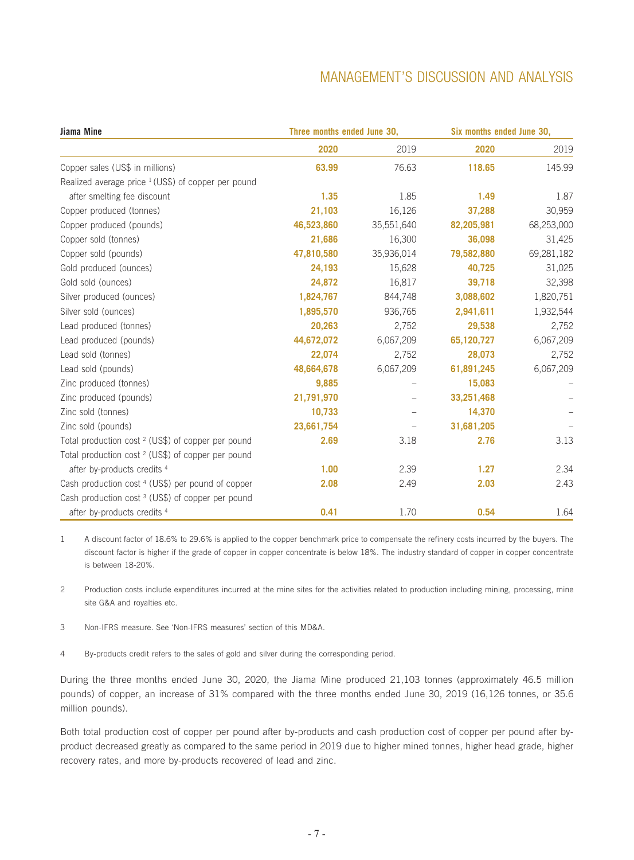| Jiama Mine                                                     | Three months ended June 30, |            | Six months ended June 30, |            |
|----------------------------------------------------------------|-----------------------------|------------|---------------------------|------------|
|                                                                | 2020                        | 2019       | 2020                      | 2019       |
| Copper sales (US\$ in millions)                                | 63.99                       | 76.63      | 118.65                    | 145.99     |
| Realized average price <sup>1</sup> (US\$) of copper per pound |                             |            |                           |            |
| after smelting fee discount                                    | 1.35                        | 1.85       | 1.49                      | 1.87       |
| Copper produced (tonnes)                                       | 21,103                      | 16,126     | 37,288                    | 30,959     |
| Copper produced (pounds)                                       | 46,523,860                  | 35,551,640 | 82,205,981                | 68,253,000 |
| Copper sold (tonnes)                                           | 21,686                      | 16,300     | 36,098                    | 31,425     |
| Copper sold (pounds)                                           | 47,810,580                  | 35,936,014 | 79,582,880                | 69,281,182 |
| Gold produced (ounces)                                         | 24,193                      | 15,628     | 40,725                    | 31,025     |
| Gold sold (ounces)                                             | 24,872                      | 16,817     | 39,718                    | 32,398     |
| Silver produced (ounces)                                       | 1,824,767                   | 844,748    | 3,088,602                 | 1,820,751  |
| Silver sold (ounces)                                           | 1,895,570                   | 936,765    | 2,941,611                 | 1,932,544  |
| Lead produced (tonnes)                                         | 20,263                      | 2,752      | 29,538                    | 2,752      |
| Lead produced (pounds)                                         | 44,672,072                  | 6,067,209  | 65,120,727                | 6,067,209  |
| Lead sold (tonnes)                                             | 22,074                      | 2,752      | 28,073                    | 2,752      |
| Lead sold (pounds)                                             | 48,664,678                  | 6,067,209  | 61,891,245                | 6,067,209  |
| Zinc produced (tonnes)                                         | 9,885                       |            | 15,083                    |            |
| Zinc produced (pounds)                                         | 21,791,970                  |            | 33,251,468                |            |
| Zinc sold (tonnes)                                             | 10,733                      |            | 14,370                    |            |
| Zinc sold (pounds)                                             | 23,661,754                  |            | 31,681,205                |            |
| Total production cost <sup>2</sup> (US\$) of copper per pound  | 2.69                        | 3.18       | 2.76                      | 3.13       |
| Total production cost <sup>2</sup> (US\$) of copper per pound  |                             |            |                           |            |
| after by-products credits <sup>4</sup>                         | 1.00                        | 2.39       | 1.27                      | 2.34       |
| Cash production cost <sup>4</sup> (US\$) per pound of copper   | 2.08                        | 2.49       | 2.03                      | 2.43       |
| Cash production cost <sup>3</sup> (US\$) of copper per pound   |                             |            |                           |            |
| after by-products credits 4                                    | 0.41                        | 1.70       | 0.54                      | 1.64       |

1 A discount factor of 18.6% to 29.6% is applied to the copper benchmark price to compensate the refinery costs incurred by the buyers. The discount factor is higher if the grade of copper in copper concentrate is below 18%. The industry standard of copper in copper concentrate is between 18-20%.

2 Production costs include expenditures incurred at the mine sites for the activities related to production including mining, processing, mine site G&A and royalties etc.

- 3 Non-IFRS measure. See 'Non-IFRS measures' section of this MD&A.
- 4 By-products credit refers to the sales of gold and silver during the corresponding period.

During the three months ended June 30, 2020, the Jiama Mine produced 21,103 tonnes (approximately 46.5 million pounds) of copper, an increase of 31% compared with the three months ended June 30, 2019 (16,126 tonnes, or 35.6 million pounds).

Both total production cost of copper per pound after by-products and cash production cost of copper per pound after byproduct decreased greatly as compared to the same period in 2019 due to higher mined tonnes, higher head grade, higher recovery rates, and more by-products recovered of lead and zinc.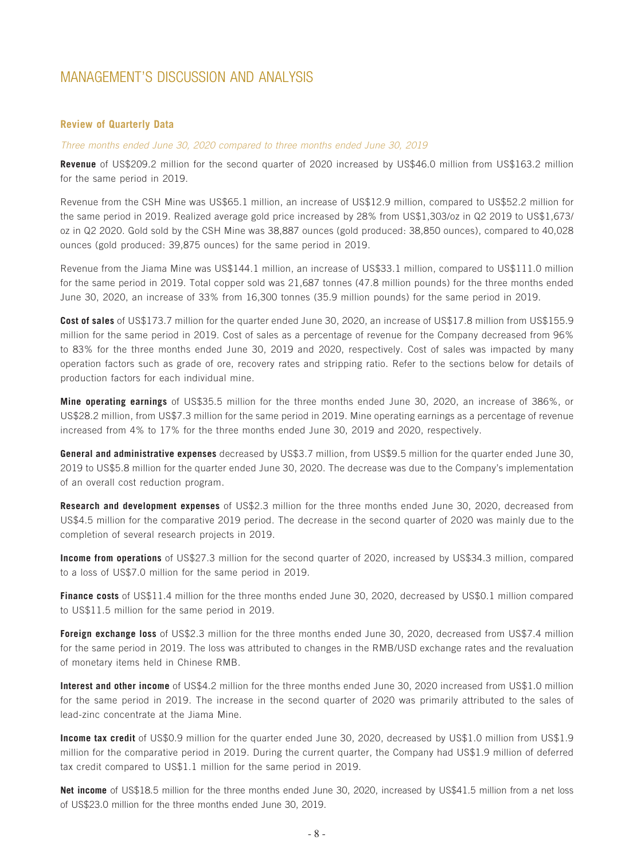#### **Review of Quarterly Data**

#### *Three months ended June 30, 2020 compared to three months ended June 30, 2019*

**Revenue** of US\$209.2 million for the second quarter of 2020 increased by US\$46.0 million from US\$163.2 million for the same period in 2019.

Revenue from the CSH Mine was US\$65.1 million, an increase of US\$12.9 million, compared to US\$52.2 million for the same period in 2019. Realized average gold price increased by 28% from US\$1,303/oz in Q2 2019 to US\$1,673/ oz in Q2 2020. Gold sold by the CSH Mine was 38,887 ounces (gold produced: 38,850 ounces), compared to 40,028 ounces (gold produced: 39,875 ounces) for the same period in 2019.

Revenue from the Jiama Mine was US\$144.1 million, an increase of US\$33.1 million, compared to US\$111.0 million for the same period in 2019. Total copper sold was 21,687 tonnes (47.8 million pounds) for the three months ended June 30, 2020, an increase of 33% from 16,300 tonnes (35.9 million pounds) for the same period in 2019.

**Cost of sales** of US\$173.7 million for the quarter ended June 30, 2020, an increase of US\$17.8 million from US\$155.9 million for the same period in 2019. Cost of sales as a percentage of revenue for the Company decreased from 96% to 83% for the three months ended June 30, 2019 and 2020, respectively. Cost of sales was impacted by many operation factors such as grade of ore, recovery rates and stripping ratio. Refer to the sections below for details of production factors for each individual mine.

**Mine operating earnings** of US\$35.5 million for the three months ended June 30, 2020, an increase of 386%, or US\$28.2 million, from US\$7.3 million for the same period in 2019. Mine operating earnings as a percentage of revenue increased from 4% to 17% for the three months ended June 30, 2019 and 2020, respectively.

**General and administrative expenses** decreased by US\$3.7 million, from US\$9.5 million for the quarter ended June 30, 2019 to US\$5.8 million for the quarter ended June 30, 2020. The decrease was due to the Company's implementation of an overall cost reduction program.

**Research and development expenses** of US\$2.3 million for the three months ended June 30, 2020, decreased from US\$4.5 million for the comparative 2019 period. The decrease in the second quarter of 2020 was mainly due to the completion of several research projects in 2019.

**Income from operations** of US\$27.3 million for the second quarter of 2020, increased by US\$34.3 million, compared to a loss of US\$7.0 million for the same period in 2019.

**Finance costs** of US\$11.4 million for the three months ended June 30, 2020, decreased by US\$0.1 million compared to US\$11.5 million for the same period in 2019.

**Foreign exchange loss** of US\$2.3 million for the three months ended June 30, 2020, decreased from US\$7.4 million for the same period in 2019. The loss was attributed to changes in the RMB/USD exchange rates and the revaluation of monetary items held in Chinese RMB.

**Interest and other income** of US\$4.2 million for the three months ended June 30, 2020 increased from US\$1.0 million for the same period in 2019. The increase in the second quarter of 2020 was primarily attributed to the sales of lead-zinc concentrate at the Jiama Mine.

**Income tax credit** of US\$0.9 million for the quarter ended June 30, 2020, decreased by US\$1.0 million from US\$1.9 million for the comparative period in 2019. During the current quarter, the Company had US\$1.9 million of deferred tax credit compared to US\$1.1 million for the same period in 2019.

**Net income** of US\$18.5 million for the three months ended June 30, 2020, increased by US\$41.5 million from a net loss of US\$23.0 million for the three months ended June 30, 2019.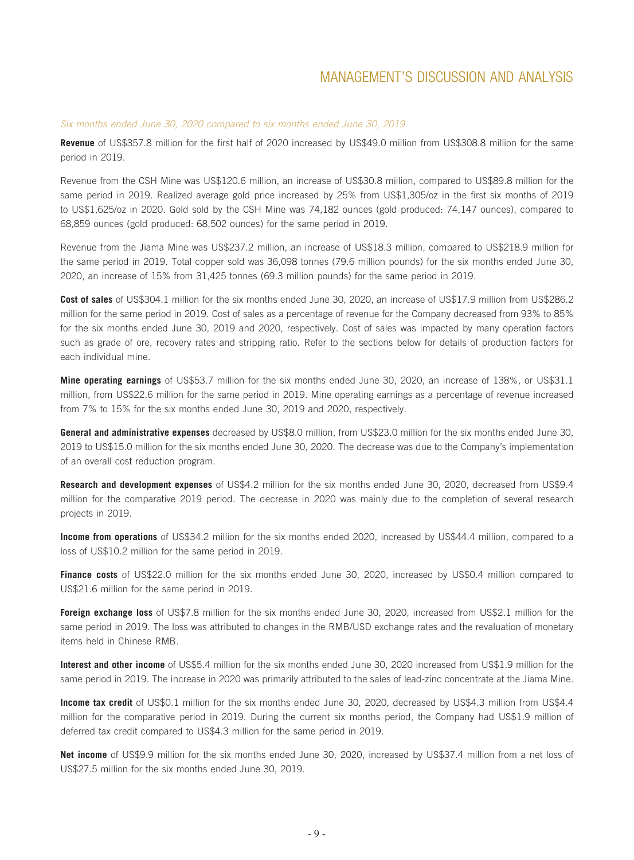#### *Six months ended June 30, 2020 compared to six months ended June 30, 2019*

**Revenue** of US\$357.8 million for the first half of 2020 increased by US\$49.0 million from US\$308.8 million for the same period in 2019.

Revenue from the CSH Mine was US\$120.6 million, an increase of US\$30.8 million, compared to US\$89.8 million for the same period in 2019. Realized average gold price increased by 25% from US\$1,305/oz in the first six months of 2019 to US\$1,625/oz in 2020. Gold sold by the CSH Mine was 74,182 ounces (gold produced: 74,147 ounces), compared to 68,859 ounces (gold produced: 68,502 ounces) for the same period in 2019.

Revenue from the Jiama Mine was US\$237.2 million, an increase of US\$18.3 million, compared to US\$218.9 million for the same period in 2019. Total copper sold was 36,098 tonnes (79.6 million pounds) for the six months ended June 30, 2020, an increase of 15% from 31,425 tonnes (69.3 million pounds) for the same period in 2019.

**Cost of sales** of US\$304.1 million for the six months ended June 30, 2020, an increase of US\$17.9 million from US\$286.2 million for the same period in 2019. Cost of sales as a percentage of revenue for the Company decreased from 93% to 85% for the six months ended June 30, 2019 and 2020, respectively. Cost of sales was impacted by many operation factors such as grade of ore, recovery rates and stripping ratio. Refer to the sections below for details of production factors for each individual mine.

**Mine operating earnings** of US\$53.7 million for the six months ended June 30, 2020, an increase of 138%, or US\$31.1 million, from US\$22.6 million for the same period in 2019. Mine operating earnings as a percentage of revenue increased from 7% to 15% for the six months ended June 30, 2019 and 2020, respectively.

**General and administrative expenses** decreased by US\$8.0 million, from US\$23.0 million for the six months ended June 30, 2019 to US\$15.0 million for the six months ended June 30, 2020. The decrease was due to the Company's implementation of an overall cost reduction program.

**Research and development expenses** of US\$4.2 million for the six months ended June 30, 2020, decreased from US\$9.4 million for the comparative 2019 period. The decrease in 2020 was mainly due to the completion of several research projects in 2019.

**Income from operations** of US\$34.2 million for the six months ended 2020, increased by US\$44.4 million, compared to a loss of US\$10.2 million for the same period in 2019.

**Finance costs** of US\$22.0 million for the six months ended June 30, 2020, increased by US\$0.4 million compared to US\$21.6 million for the same period in 2019.

**Foreign exchange loss** of US\$7.8 million for the six months ended June 30, 2020, increased from US\$2.1 million for the same period in 2019. The loss was attributed to changes in the RMB/USD exchange rates and the revaluation of monetary items held in Chinese RMB.

**Interest and other income** of US\$5.4 million for the six months ended June 30, 2020 increased from US\$1.9 million for the same period in 2019. The increase in 2020 was primarily attributed to the sales of lead-zinc concentrate at the Jiama Mine.

**Income tax credit** of US\$0.1 million for the six months ended June 30, 2020, decreased by US\$4.3 million from US\$4.4 million for the comparative period in 2019. During the current six months period, the Company had US\$1.9 million of deferred tax credit compared to US\$4.3 million for the same period in 2019.

**Net income** of US\$9.9 million for the six months ended June 30, 2020, increased by US\$37.4 million from a net loss of US\$27.5 million for the six months ended June 30, 2019.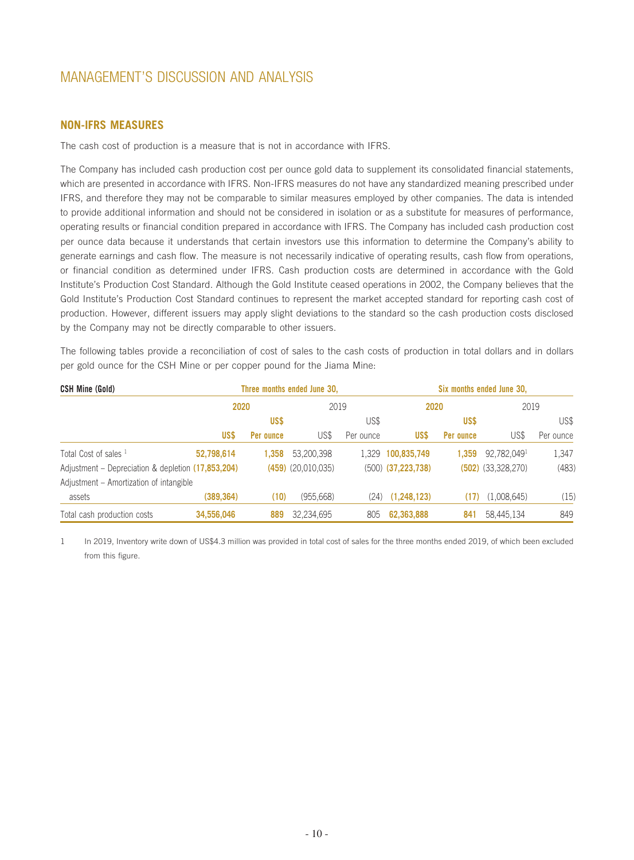## **NON-IFRS MEASURES**

The cash cost of production is a measure that is not in accordance with IFRS.

The Company has included cash production cost per ounce gold data to supplement its consolidated financial statements, which are presented in accordance with IFRS. Non-IFRS measures do not have any standardized meaning prescribed under IFRS, and therefore they may not be comparable to similar measures employed by other companies. The data is intended to provide additional information and should not be considered in isolation or as a substitute for measures of performance, operating results or financial condition prepared in accordance with IFRS. The Company has included cash production cost per ounce data because it understands that certain investors use this information to determine the Company's ability to generate earnings and cash flow. The measure is not necessarily indicative of operating results, cash flow from operations, or financial condition as determined under IFRS. Cash production costs are determined in accordance with the Gold Institute's Production Cost Standard. Although the Gold Institute ceased operations in 2002, the Company believes that the Gold Institute's Production Cost Standard continues to represent the market accepted standard for reporting cash cost of production. However, different issuers may apply slight deviations to the standard so the cash production costs disclosed by the Company may not be directly comparable to other issuers.

The following tables provide a reconciliation of cost of sales to the cash costs of production in total dollars and in dollars per gold ounce for the CSH Mine or per copper pound for the Jiama Mine:

| <b>CSH Mine (Gold)</b>                             |            |           | Three months ended June 30. |           |                        |           | Six months ended June 30. |           |
|----------------------------------------------------|------------|-----------|-----------------------------|-----------|------------------------|-----------|---------------------------|-----------|
|                                                    | 2020       |           | 2019                        |           | 2020                   |           | 2019                      |           |
|                                                    |            | US\$      |                             | US\$      |                        | US\$      |                           | US\$      |
|                                                    | US\$       | Per ounce | US\$                        | Per ounce | US\$                   | Per ounce | US\$                      | Per ounce |
| Total Cost of sales 1                              | 52,798,614 | 1.358     | 53,200,398                  |           | 1,329 100,835,749      | 1.359     | 92,782,0491               | 1,347     |
| Adjustment – Depreciation & depletion (17,853,204) |            |           | $(459)$ $(20,010,035)$      |           | $(500)$ $(37,223,738)$ |           | $(502)$ $(33,328,270)$    | (483)     |
| Adjustment – Amortization of intangible            |            |           |                             |           |                        |           |                           |           |
| assets                                             | (389, 364) | (10)      | (955,668)                   |           | $(24)$ $(1,248,123)$   | (17)      | (1,008,645)               | (15)      |
| Total cash production costs                        | 34,556,046 | 889       | 32,234,695                  | 805       | 62,363,888             | 841       | 58,445,134                | 849       |

1 In 2019, Inventory write down of US\$4.3 million was provided in total cost of sales for the three months ended 2019, of which been excluded from this figure.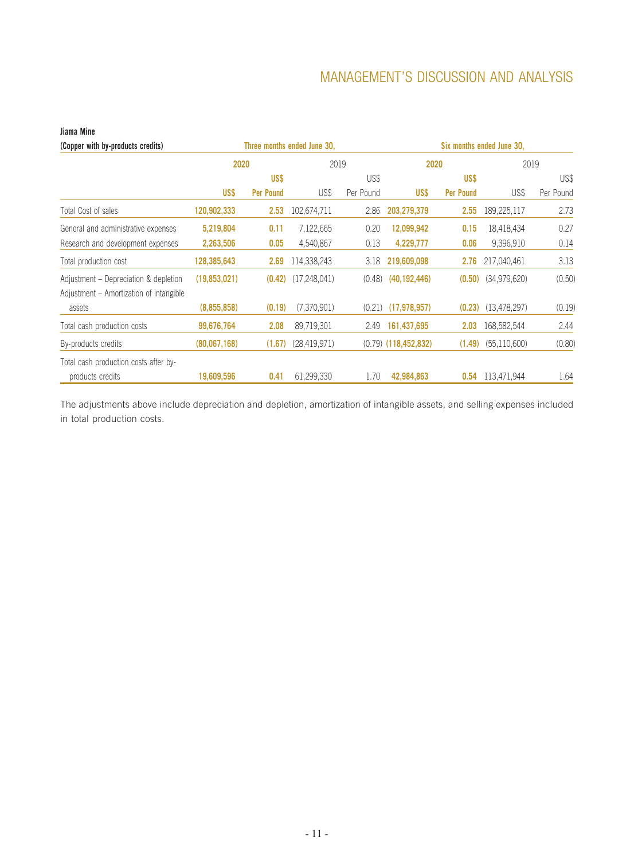#### **(Copper with by-products credits) Three months ended June 30, Six months ended June 30, 2020** 2019 **2020** 2019 **US\$ US\$ Per Pound** US\$ US\$ Per Pound **US\$ US\$ Per Pound** US\$ US\$ Per Pound Total Cost of sales **120,902,333 2.53** 102,674,711 2.86 **203,279,379 2.55** 189,225,117 2.73 General and administrative expenses **5,219,804 0.11** 7,122,665 0.20 **12,099,942 0.15** 18,418,434 0.27 Research and development expenses **2,263,506 0.05** 4,540,867 0.13 **4,229,777 0.06** 9,396,910 0.14 Total production cost **128,385,643 2.69** 114,338,243 3.18 **219,609,098 2.76** 217,040,461 3.13 Adjustment – Depreciation & depletion **(19,853,021) (0.42)** (17,248,041) (0.48) **(40,192,446) (0.50)** (34,979,620) (0.50) Adjustment – Amortization of intangible assets **(8,855,858) (0.19)** (7,370,901) (0.21) **(17,978,957) (0.23)** (13,478,297) (0.19) Total cash production costs **99,676,764 2.08** 89,719,301 2.49 **161,437,695 2.03** 168,582,544 2.44 By-products credits **(80,067,168) (1.67)** (28,419,971) (0.79) **(118,452,832) (1.49)** (55,110,600) (0.80) Total cash production costs after byproducts credits **19,609,596 0.41** 61,299,330 1.70 **42,984,863 0.54** 113,471,944 1.64

**Jiama Mine** 

The adjustments above include depreciation and depletion, amortization of intangible assets, and selling expenses included in total production costs.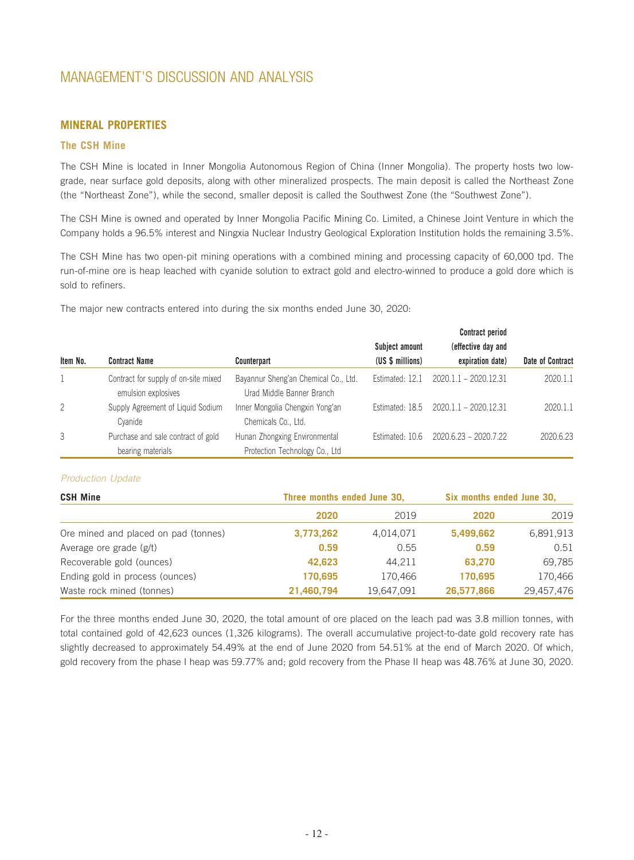## **MINERAL PROPERTIES**

#### **The CSH Mine**

The CSH Mine is located in Inner Mongolia Autonomous Region of China (Inner Mongolia). The property hosts two lowgrade, near surface gold deposits, along with other mineralized prospects. The main deposit is called the Northeast Zone (the "Northeast Zone"), while the second, smaller deposit is called the Southwest Zone (the "Southwest Zone").

The CSH Mine is owned and operated by Inner Mongolia Pacific Mining Co. Limited, a Chinese Joint Venture in which the Company holds a 96.5% interest and Ningxia Nuclear Industry Geological Exploration Institution holds the remaining 3.5%.

The CSH Mine has two open-pit mining operations with a combined mining and processing capacity of 60,000 tpd. The run-of-mine ore is heap leached with cyanide solution to extract gold and electro-winned to produce a gold dore which is sold to refiners.

The major new contracts entered into during the six months ended June 30, 2020:

|                |                                                             |                                                                   |                  | <b>Contract period</b>  |                         |
|----------------|-------------------------------------------------------------|-------------------------------------------------------------------|------------------|-------------------------|-------------------------|
|                |                                                             |                                                                   | Subject amount   | (effective day and      |                         |
| Item No.       | <b>Contract Name</b>                                        | Counterpart                                                       | (US \$ millions) | expiration date)        | <b>Date of Contract</b> |
|                | Contract for supply of on-site mixed<br>emulsion explosives | Bayannur Sheng'an Chemical Co., Ltd.<br>Urad Middle Banner Branch | Estimated: 12.1  | 2020.1.1 - 2020.12.31   | 2020.1.1                |
| $\overline{2}$ | Supply Agreement of Liquid Sodium<br>Cvanide                | Inner Mongolia Chengxin Yong'an<br>Chemicals Co., Ltd.            | Estimated: 18.5  | $2020.1.1 - 2020.12.31$ | 2020.1.1                |
| 3              | Purchase and sale contract of gold                          | Hunan Zhongxing Environmental                                     | Estimated: 10.6  | $2020.6.23 - 2020.7.22$ | 2020.6.23               |
|                | bearing materials                                           | Protection Technology Co., Ltd                                    |                  |                         |                         |

#### *Production Update*

| <b>CSH Mine</b>                      | Three months ended June 30, |            | Six months ended June 30, |            |  |
|--------------------------------------|-----------------------------|------------|---------------------------|------------|--|
|                                      | 2020                        | 2019       | 2020                      | 2019       |  |
| Ore mined and placed on pad (tonnes) | 3,773,262                   | 4,014,071  | 5,499,662                 | 6,891,913  |  |
| Average ore grade (g/t)              | 0.59                        | 0.55       | 0.59                      | 0.51       |  |
| Recoverable gold (ounces)            | 42,623                      | 44,211     | 63,270                    | 69,785     |  |
| Ending gold in process (ounces)      | 170.695                     | 170.466    | 170.695                   | 170.466    |  |
| Waste rock mined (tonnes)            | 21,460,794                  | 19,647,091 | 26,577,866                | 29,457,476 |  |

For the three months ended June 30, 2020, the total amount of ore placed on the leach pad was 3.8 million tonnes, with total contained gold of 42,623 ounces (1,326 kilograms). The overall accumulative project-to-date gold recovery rate has slightly decreased to approximately 54.49% at the end of June 2020 from 54.51% at the end of March 2020. Of which, gold recovery from the phase I heap was 59.77% and; gold recovery from the Phase II heap was 48.76% at June 30, 2020.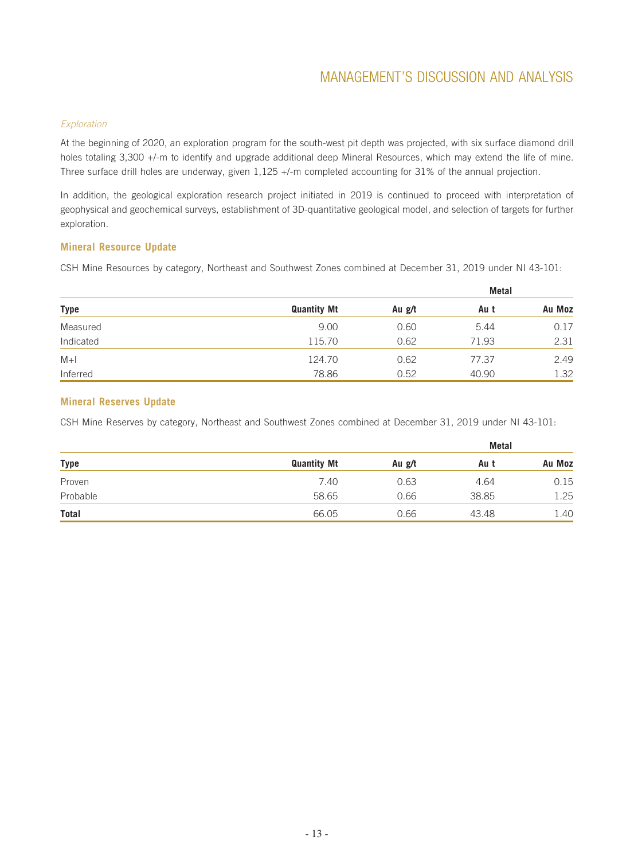#### *Exploration*

At the beginning of 2020, an exploration program for the south-west pit depth was projected, with six surface diamond drill holes totaling 3,300 +/-m to identify and upgrade additional deep Mineral Resources, which may extend the life of mine. Three surface drill holes are underway, given 1,125 +/-m completed accounting for 31% of the annual projection.

In addition, the geological exploration research project initiated in 2019 is continued to proceed with interpretation of geophysical and geochemical surveys, establishment of 3D-quantitative geological model, and selection of targets for further exploration.

### **Mineral Resource Update**

CSH Mine Resources by category, Northeast and Southwest Zones combined at December 31, 2019 under NI 43-101:

|           |                    |        | Metal |        |
|-----------|--------------------|--------|-------|--------|
| Type      | <b>Quantity Mt</b> | Au g/t | Au t  | Au Moz |
| Measured  | 9.00               | 0.60   | 5.44  | 0.17   |
| Indicated | 115.70             | 0.62   | 71.93 | 2.31   |
| $M+1$     | 124.70             | 0.62   | 77.37 | 2.49   |
| Inferred  | 78.86              | 0.52   | 40.90 | 1.32   |

#### **Mineral Reserves Update**

CSH Mine Reserves by category, Northeast and Southwest Zones combined at December 31, 2019 under NI 43-101:

| <b>Type</b> |                    |        |       | Metal  |
|-------------|--------------------|--------|-------|--------|
|             | <b>Quantity Mt</b> | Au g/t | Au t  | Au Moz |
| Proven      | 7.40               | 0.63   | 4.64  | 0.15   |
| Probable    | 58.65              | 0.66   | 38.85 | 1.25   |
| Total       | 66.05              | 0.66   | 43.48 | 1.40   |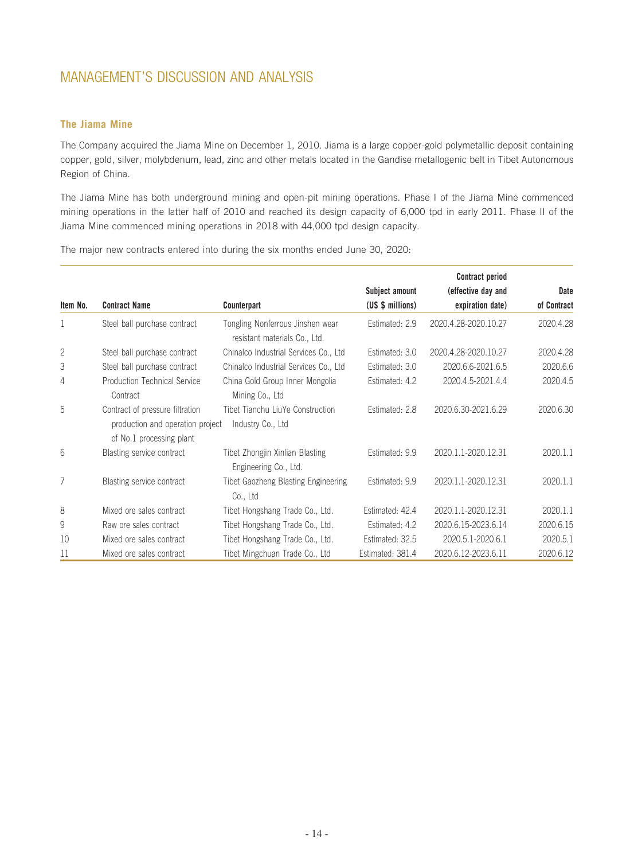## **The Jiama Mine**

The Company acquired the Jiama Mine on December 1, 2010. Jiama is a large copper-gold polymetallic deposit containing copper, gold, silver, molybdenum, lead, zinc and other metals located in the Gandise metallogenic belt in Tibet Autonomous Region of China.

The Jiama Mine has both underground mining and open-pit mining operations. Phase I of the Jiama Mine commenced mining operations in the latter half of 2010 and reached its design capacity of 6,000 tpd in early 2011. Phase II of the Jiama Mine commenced mining operations in 2018 with 44,000 tpd design capacity.

The major new contracts entered into during the six months ended June 30, 2020:

|          |                                                                                                 |                                                                   |                  | <b>Contract period</b> |             |
|----------|-------------------------------------------------------------------------------------------------|-------------------------------------------------------------------|------------------|------------------------|-------------|
|          |                                                                                                 |                                                                   | Subject amount   | (effective day and     | Date        |
| Item No. | <b>Contract Name</b>                                                                            | Counterpart                                                       | (US \$ millions) | expiration date)       | of Contract |
| 1        | Steel ball purchase contract                                                                    | Tongling Nonferrous Jinshen wear<br>resistant materials Co., Ltd. | Estimated: 2.9   | 2020.4.28-2020.10.27   | 2020.4.28   |
| 2        | Steel ball purchase contract                                                                    | Chinalco Industrial Services Co., Ltd                             | Estimated: 3.0   | 2020.4.28-2020.10.27   | 2020.4.28   |
| 3        | Steel ball purchase contract                                                                    | Chinalco Industrial Services Co., Ltd                             | Estimated: 3.0   | 2020.6.6-2021.6.5      | 2020.6.6    |
| 4        | <b>Production Technical Service</b><br>Contract                                                 | China Gold Group Inner Mongolia<br>Mining Co., Ltd                | Estimated: 4.2   | 2020.4.5-2021.4.4      | 2020.4.5    |
| 5        | Contract of pressure filtration<br>production and operation project<br>of No.1 processing plant | Tibet Tianchu LiuYe Construction<br>Industry Co., Ltd             | Estimated: 2.8   | 2020.6.30-2021.6.29    | 2020.6.30   |
| 6        | Blasting service contract                                                                       | Tibet Zhongjin Xinlian Blasting<br>Engineering Co., Ltd.          | Estimated: 9.9   | 2020.1.1-2020.12.31    | 2020.1.1    |
| 7        | Blasting service contract                                                                       | Tibet Gaozheng Blasting Engineering<br>Co., Ltd                   | Estimated: 9.9   | 2020.1.1-2020.12.31    | 2020.1.1    |
| 8        | Mixed ore sales contract                                                                        | Tibet Hongshang Trade Co., Ltd.                                   | Estimated: 42.4  | 2020.1.1-2020.12.31    | 2020.1.1    |
| 9        | Raw ore sales contract                                                                          | Tibet Hongshang Trade Co., Ltd.                                   | Estimated: 4.2   | 2020.6.15-2023.6.14    | 2020.6.15   |
| 10       | Mixed ore sales contract                                                                        | Tibet Hongshang Trade Co., Ltd.                                   | Estimated: 32.5  | 2020.5.1-2020.6.1      | 2020.5.1    |
| 11       | Mixed ore sales contract                                                                        | Tibet Mingchuan Trade Co., Ltd                                    | Estimated: 381.4 | 2020.6.12-2023.6.11    | 2020.6.12   |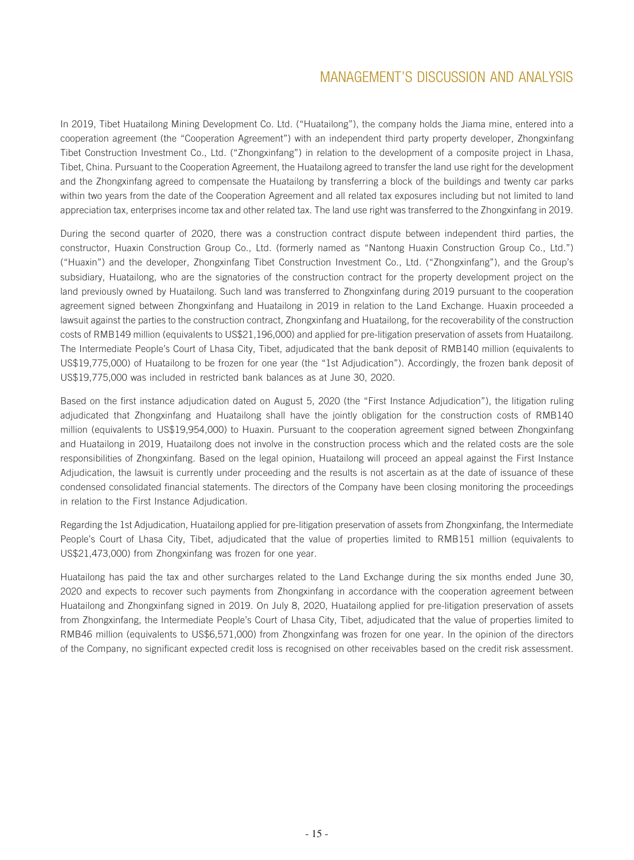In 2019, Tibet Huatailong Mining Development Co. Ltd. ("Huatailong"), the company holds the Jiama mine, entered into a cooperation agreement (the "Cooperation Agreement") with an independent third party property developer, Zhongxinfang Tibet Construction Investment Co., Ltd. ("Zhongxinfang") in relation to the development of a composite project in Lhasa, Tibet, China. Pursuant to the Cooperation Agreement, the Huatailong agreed to transfer the land use right for the development and the Zhongxinfang agreed to compensate the Huatailong by transferring a block of the buildings and twenty car parks within two years from the date of the Cooperation Agreement and all related tax exposures including but not limited to land appreciation tax, enterprises income tax and other related tax. The land use right was transferred to the Zhongxinfang in 2019.

During the second quarter of 2020, there was a construction contract dispute between independent third parties, the constructor, Huaxin Construction Group Co., Ltd. (formerly named as "Nantong Huaxin Construction Group Co., Ltd.") ("Huaxin") and the developer, Zhongxinfang Tibet Construction Investment Co., Ltd. ("Zhongxinfang"), and the Group's subsidiary, Huatailong, who are the signatories of the construction contract for the property development project on the land previously owned by Huatailong. Such land was transferred to Zhongxinfang during 2019 pursuant to the cooperation agreement signed between Zhongxinfang and Huatailong in 2019 in relation to the Land Exchange. Huaxin proceeded a lawsuit against the parties to the construction contract, Zhongxinfang and Huatailong, for the recoverability of the construction costs of RMB149 million (equivalents to US\$21,196,000) and applied for pre-litigation preservation of assets from Huatailong. The Intermediate People's Court of Lhasa City, Tibet, adjudicated that the bank deposit of RMB140 million (equivalents to US\$19,775,000) of Huatailong to be frozen for one year (the "1st Adjudication"). Accordingly, the frozen bank deposit of US\$19,775,000 was included in restricted bank balances as at June 30, 2020.

Based on the first instance adjudication dated on August 5, 2020 (the "First Instance Adjudication"), the litigation ruling adjudicated that Zhongxinfang and Huatailong shall have the jointly obligation for the construction costs of RMB140 million (equivalents to US\$19,954,000) to Huaxin. Pursuant to the cooperation agreement signed between Zhongxinfang and Huatailong in 2019, Huatailong does not involve in the construction process which and the related costs are the sole responsibilities of Zhongxinfang. Based on the legal opinion, Huatailong will proceed an appeal against the First Instance Adjudication, the lawsuit is currently under proceeding and the results is not ascertain as at the date of issuance of these condensed consolidated financial statements. The directors of the Company have been closing monitoring the proceedings in relation to the First Instance Adjudication.

Regarding the 1st Adjudication, Huatailong applied for pre-litigation preservation of assets from Zhongxinfang, the Intermediate People's Court of Lhasa City, Tibet, adjudicated that the value of properties limited to RMB151 million (equivalents to US\$21,473,000) from Zhongxinfang was frozen for one year.

Huatailong has paid the tax and other surcharges related to the Land Exchange during the six months ended June 30, 2020 and expects to recover such payments from Zhongxinfang in accordance with the cooperation agreement between Huatailong and Zhongxinfang signed in 2019. On July 8, 2020, Huatailong applied for pre-litigation preservation of assets from Zhongxinfang, the Intermediate People's Court of Lhasa City, Tibet, adjudicated that the value of properties limited to RMB46 million (equivalents to US\$6,571,000) from Zhongxinfang was frozen for one year. In the opinion of the directors of the Company, no significant expected credit loss is recognised on other receivables based on the credit risk assessment.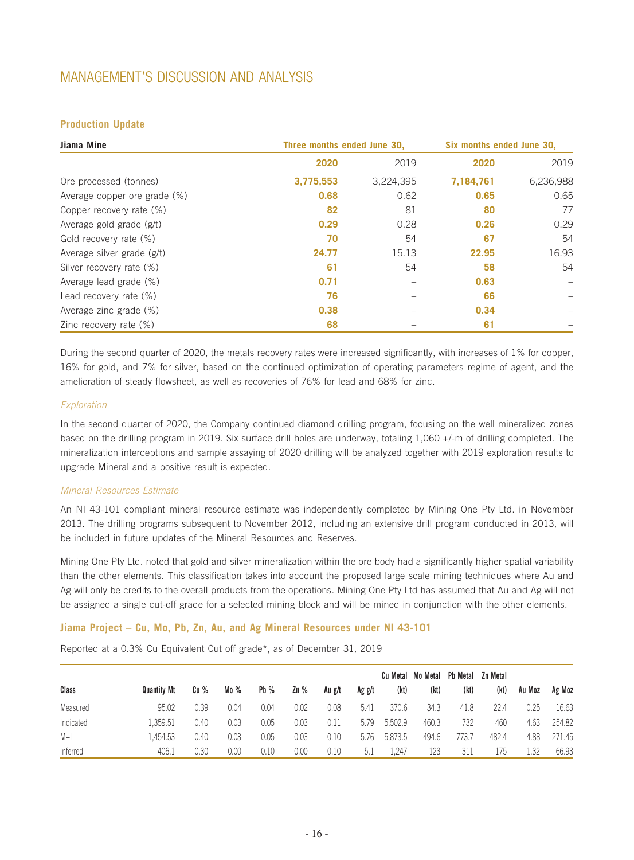## **Production Update**

| Jiama Mine                   |           | Three months ended June 30,<br>Six months ended June 30, |           |           |  |
|------------------------------|-----------|----------------------------------------------------------|-----------|-----------|--|
|                              | 2020      | 2019                                                     | 2020      | 2019      |  |
| Ore processed (tonnes)       | 3,775,553 | 3,224,395                                                | 7,184,761 | 6,236,988 |  |
| Average copper ore grade (%) | 0.68      | 0.62                                                     | 0.65      | 0.65      |  |
| Copper recovery rate (%)     | 82        | 81                                                       | 80        | 77        |  |
| Average gold grade (g/t)     | 0.29      | 0.28                                                     | 0.26      | 0.29      |  |
| Gold recovery rate (%)       | 70        | 54                                                       | 67        | 54        |  |
| Average silver grade (g/t)   | 24.77     | 15.13                                                    | 22.95     | 16.93     |  |
| Silver recovery rate (%)     | 61        | 54                                                       | 58        | 54        |  |
| Average lead grade (%)       | 0.71      |                                                          | 0.63      |           |  |
| Lead recovery rate (%)       | 76        |                                                          | 66        |           |  |
| Average zinc grade (%)       | 0.38      |                                                          | 0.34      |           |  |
| Zinc recovery rate (%)       | 68        |                                                          | 61        |           |  |

During the second quarter of 2020, the metals recovery rates were increased significantly, with increases of 1% for copper, 16% for gold, and 7% for silver, based on the continued optimization of operating parameters regime of agent, and the amelioration of steady flowsheet, as well as recoveries of 76% for lead and 68% for zinc.

#### *Exploration*

In the second quarter of 2020, the Company continued diamond drilling program, focusing on the well mineralized zones based on the drilling program in 2019. Six surface drill holes are underway, totaling 1,060 +/-m of drilling completed. The mineralization interceptions and sample assaying of 2020 drilling will be analyzed together with 2019 exploration results to upgrade Mineral and a positive result is expected.

#### *Mineral Resources Estimate*

An NI 43-101 compliant mineral resource estimate was independently completed by Mining One Pty Ltd. in November 2013. The drilling programs subsequent to November 2012, including an extensive drill program conducted in 2013, will be included in future updates of the Mineral Resources and Reserves.

Mining One Pty Ltd. noted that gold and silver mineralization within the ore body had a significantly higher spatial variability than the other elements. This classification takes into account the proposed large scale mining techniques where Au and Ag will only be credits to the overall products from the operations. Mining One Pty Ltd has assumed that Au and Ag will not be assigned a single cut-off grade for a selected mining block and will be mined in conjunction with the other elements.

#### **Jiama Project – Cu, Mo, Pb, Zn, Au, and Ag Mineral Resources under NI 43-101**

Reported at a 0.3% Cu Equivalent Cut off grade\*, as of December 31, 2019

|           |                    |      |      |        |        |        |        |         | Cu Metal Mo Metal | Pb Metal | Zn Metal |        |        |
|-----------|--------------------|------|------|--------|--------|--------|--------|---------|-------------------|----------|----------|--------|--------|
| Class     | <b>Quantity Mt</b> | Cu%  | Mo%  | $Pb\%$ | $Zn\%$ | Au g/t | Ag g/t | (kt)    | (kt)              | (kt)     | (kt)     | Au Moz | Ag Moz |
| Measured  | 95.02              | 0.39 | 0.04 | 0.04   | 0.02   | 0.08   | 5.41   | 370.6   | 34.3              | 41.8     | 22.4     | 0.25   | 16.63  |
| Indicated | 359.51             | 0.40 | 0.03 | 0.05   | 0.03   | 0.11   | 5.79   | 5,502.9 | 460.3             | 732      | 460      | 4.63   | 254.82 |
| $M+1$     | .454.53            | 0.40 | 0.03 | 0.05   | 0.03   | 0.10   | 5.76   | 5,873.5 | 494.6             | '73.7    | 482.4    | 4.88   | 271.45 |
| Inferred  | 406.1              | 0.30 | 0.00 | 0.10   | 0.00   | 0.10   | 5.1    | 1,247   | 123               | 311      | 175      | 1.32   | 66.93  |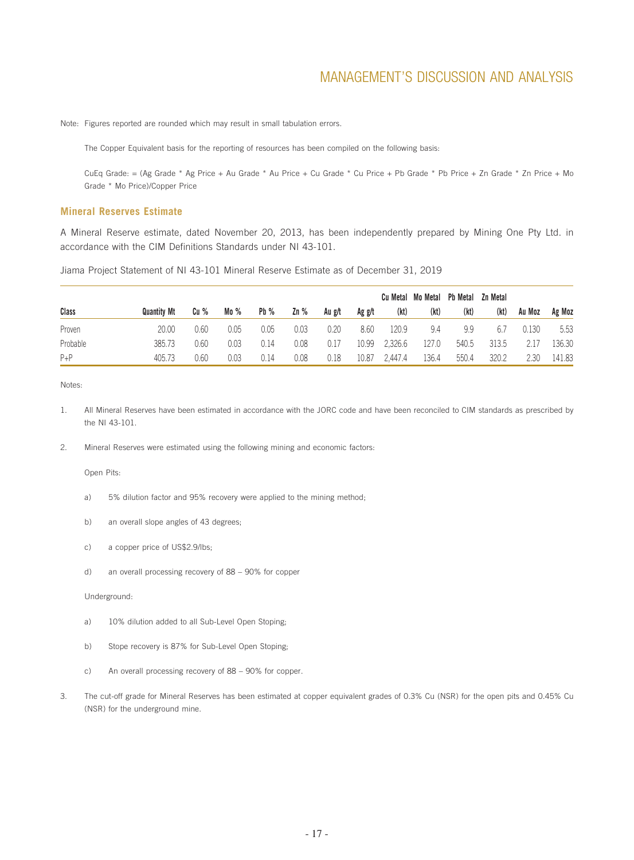Note: Figures reported are rounded which may result in small tabulation errors.

The Copper Equivalent basis for the reporting of resources has been compiled on the following basis:

CuEq Grade: = (Ag Grade \* Ag Price + Au Grade \* Au Price + Cu Grade \* Cu Price + Pb Grade \* Pb Price + Zn Grade \* Zn Price + Mo Grade \* Mo Price)/Copper Price

#### **Mineral Reserves Estimate**

A Mineral Reserve estimate, dated November 20, 2013, has been independently prepared by Mining One Pty Ltd. in accordance with the CIM Definitions Standards under NI 43-101.

Jiama Project Statement of NI 43-101 Mineral Reserve Estimate as of December 31, 2019

|          |                    |      |         |        |        |        |        |         | Cu Metal Mo Metal Pb Metal |       | Zn Metal |        |        |
|----------|--------------------|------|---------|--------|--------|--------|--------|---------|----------------------------|-------|----------|--------|--------|
| Class    | <b>Quantity Mt</b> | Cu % | Mo $\%$ | $Pb\%$ | $Zn\%$ | Au g/t | Ag g/t | (kt)    | (kt)                       | (kt)  | (kt)     | Au Moz | Ag Moz |
| Proven   | 20.00              | 0.60 | 0.05    | 0.05   | 0.03   | 0.20   | 8.60   | 120.9   | 9.4                        | 9.9   | 6.7      | 0.130  | 5.53   |
| Probable | 385.73             | 0.60 | 0.03    | 0.14   | 0.08   | 0.17   | 10.99  | 2,326.6 | 127.0                      | 540.5 | 313.5    | 2.17   | 136.30 |
| $P + P$  | 405.73             | 0.60 | 0.03    | 0.14   | 0.08   | 0.18   | 10.87  | 2.447.4 | 136.4                      | 550.4 | 320.2    | 2.30   | 141.83 |

Notes:

- 1. All Mineral Reserves have been estimated in accordance with the JORC code and have been reconciled to CIM standards as prescribed by the NI 43-101.
- 2. Mineral Reserves were estimated using the following mining and economic factors:

Open Pits:

- a) 5% dilution factor and 95% recovery were applied to the mining method;
- b) an overall slope angles of 43 degrees;
- c) a copper price of US\$2.9/lbs;
- d) an overall processing recovery of 88 90% for copper

Underground:

- a) 10% dilution added to all Sub-Level Open Stoping;
- b) Stope recovery is 87% for Sub-Level Open Stoping;
- c) An overall processing recovery of 88 90% for copper.
- 3. The cut-off grade for Mineral Reserves has been estimated at copper equivalent grades of 0.3% Cu (NSR) for the open pits and 0.45% Cu (NSR) for the underground mine.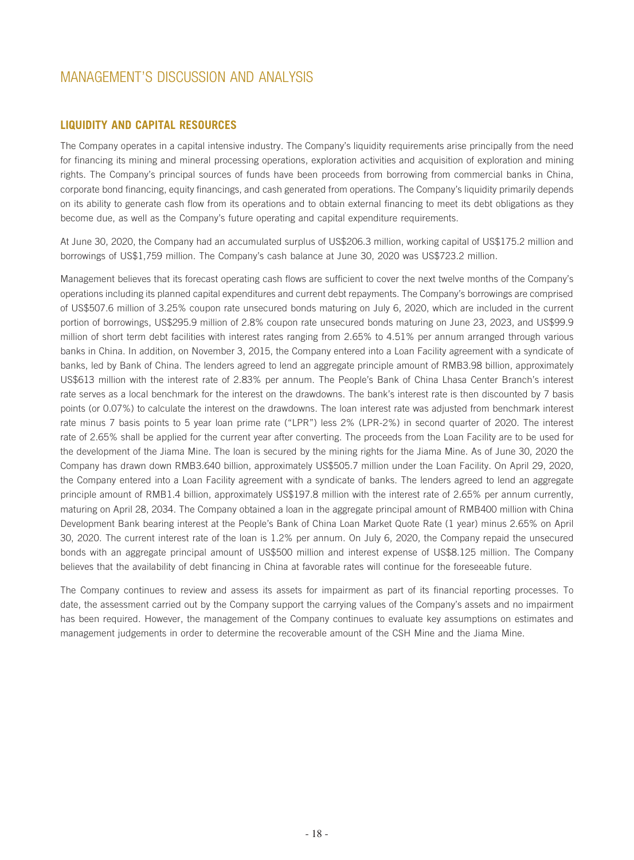## **LIQUIDITY AND CAPITAL RESOURCES**

The Company operates in a capital intensive industry. The Company's liquidity requirements arise principally from the need for financing its mining and mineral processing operations, exploration activities and acquisition of exploration and mining rights. The Company's principal sources of funds have been proceeds from borrowing from commercial banks in China, corporate bond financing, equity financings, and cash generated from operations. The Company's liquidity primarily depends on its ability to generate cash flow from its operations and to obtain external financing to meet its debt obligations as they become due, as well as the Company's future operating and capital expenditure requirements.

At June 30, 2020, the Company had an accumulated surplus of US\$206.3 million, working capital of US\$175.2 million and borrowings of US\$1,759 million. The Company's cash balance at June 30, 2020 was US\$723.2 million.

Management believes that its forecast operating cash flows are sufficient to cover the next twelve months of the Company's operations including its planned capital expenditures and current debt repayments. The Company's borrowings are comprised of US\$507.6 million of 3.25% coupon rate unsecured bonds maturing on July 6, 2020, which are included in the current portion of borrowings, US\$295.9 million of 2.8% coupon rate unsecured bonds maturing on June 23, 2023, and US\$99.9 million of short term debt facilities with interest rates ranging from 2.65% to 4.51% per annum arranged through various banks in China. In addition, on November 3, 2015, the Company entered into a Loan Facility agreement with a syndicate of banks, led by Bank of China. The lenders agreed to lend an aggregate principle amount of RMB3.98 billion, approximately US\$613 million with the interest rate of 2.83% per annum. The People's Bank of China Lhasa Center Branch's interest rate serves as a local benchmark for the interest on the drawdowns. The bank's interest rate is then discounted by 7 basis points (or 0.07%) to calculate the interest on the drawdowns. The loan interest rate was adjusted from benchmark interest rate minus 7 basis points to 5 year loan prime rate ("LPR") less 2% (LPR-2%) in second quarter of 2020. The interest rate of 2.65% shall be applied for the current year after converting. The proceeds from the Loan Facility are to be used for the development of the Jiama Mine. The loan is secured by the mining rights for the Jiama Mine. As of June 30, 2020 the Company has drawn down RMB3.640 billion, approximately US\$505.7 million under the Loan Facility. On April 29, 2020, the Company entered into a Loan Facility agreement with a syndicate of banks. The lenders agreed to lend an aggregate principle amount of RMB1.4 billion, approximately US\$197.8 million with the interest rate of 2.65% per annum currently, maturing on April 28, 2034. The Company obtained a loan in the aggregate principal amount of RMB400 million with China Development Bank bearing interest at the People's Bank of China Loan Market Quote Rate (1 year) minus 2.65% on April 30, 2020. The current interest rate of the loan is 1.2% per annum. On July 6, 2020, the Company repaid the unsecured bonds with an aggregate principal amount of US\$500 million and interest expense of US\$8.125 million. The Company believes that the availability of debt financing in China at favorable rates will continue for the foreseeable future.

The Company continues to review and assess its assets for impairment as part of its financial reporting processes. To date, the assessment carried out by the Company support the carrying values of the Company's assets and no impairment has been required. However, the management of the Company continues to evaluate key assumptions on estimates and management judgements in order to determine the recoverable amount of the CSH Mine and the Jiama Mine.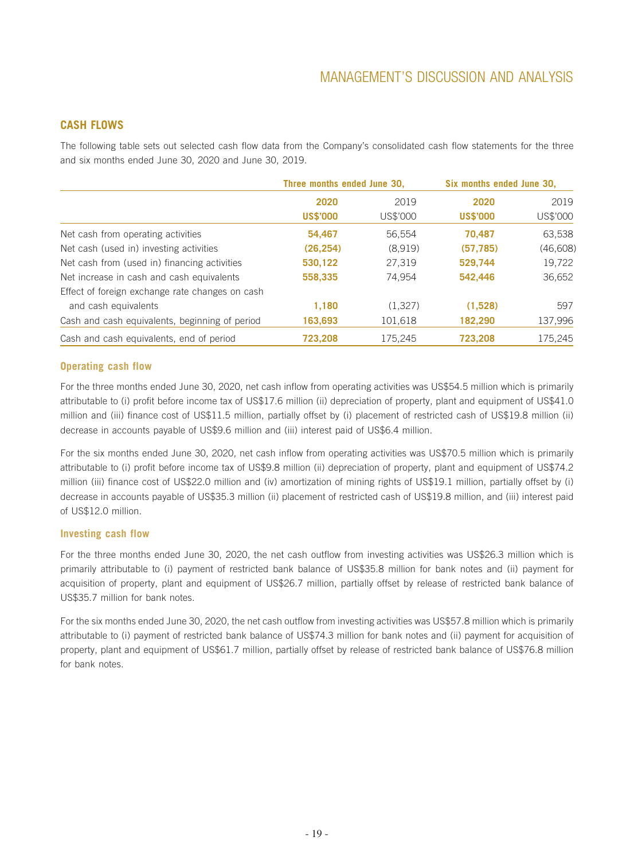## **CASH FLOWS**

The following table sets out selected cash flow data from the Company's consolidated cash flow statements for the three and six months ended June 30, 2020 and June 30, 2019.

|                                                 | Three months ended June 30. |          | Six months ended June 30. |          |
|-------------------------------------------------|-----------------------------|----------|---------------------------|----------|
|                                                 | 2020                        | 2019     | 2020                      | 2019     |
|                                                 | <b>US\$'000</b>             | US\$'000 | <b>US\$'000</b>           | US\$'000 |
| Net cash from operating activities              | 54,467                      | 56.554   | 70.487                    | 63,538   |
| Net cash (used in) investing activities         | (26, 254)                   | (8,919)  | (57, 785)                 | (46,608) |
| Net cash from (used in) financing activities    | 530,122                     | 27,319   | 529,744                   | 19,722   |
| Net increase in cash and cash equivalents       | 558,335                     | 74.954   | 542.446                   | 36,652   |
| Effect of foreign exchange rate changes on cash |                             |          |                           |          |
| and cash equivalents                            | 1,180                       | (1.327)  | (1,528)                   | 597      |
| Cash and cash equivalents, beginning of period  | 163,693                     | 101,618  | 182,290                   | 137,996  |
| Cash and cash equivalents, end of period        | 723,208                     | 175,245  | 723,208                   | 175,245  |

#### **Operating cash flow**

For the three months ended June 30, 2020, net cash inflow from operating activities was US\$54.5 million which is primarily attributable to (i) profit before income tax of US\$17.6 million (ii) depreciation of property, plant and equipment of US\$41.0 million and (iii) finance cost of US\$11.5 million, partially offset by (i) placement of restricted cash of US\$19.8 million (ii) decrease in accounts payable of US\$9.6 million and (iii) interest paid of US\$6.4 million.

For the six months ended June 30, 2020, net cash inflow from operating activities was US\$70.5 million which is primarily attributable to (i) profit before income tax of US\$9.8 million (ii) depreciation of property, plant and equipment of US\$74.2 million (iii) finance cost of US\$22.0 million and (iv) amortization of mining rights of US\$19.1 million, partially offset by (i) decrease in accounts payable of US\$35.3 million (ii) placement of restricted cash of US\$19.8 million, and (iii) interest paid of US\$12.0 million.

#### **Investing cash flow**

For the three months ended June 30, 2020, the net cash outflow from investing activities was US\$26.3 million which is primarily attributable to (i) payment of restricted bank balance of US\$35.8 million for bank notes and (ii) payment for acquisition of property, plant and equipment of US\$26.7 million, partially offset by release of restricted bank balance of US\$35.7 million for bank notes.

For the six months ended June 30, 2020, the net cash outflow from investing activities was US\$57.8 million which is primarily attributable to (i) payment of restricted bank balance of US\$74.3 million for bank notes and (ii) payment for acquisition of property, plant and equipment of US\$61.7 million, partially offset by release of restricted bank balance of US\$76.8 million for bank notes.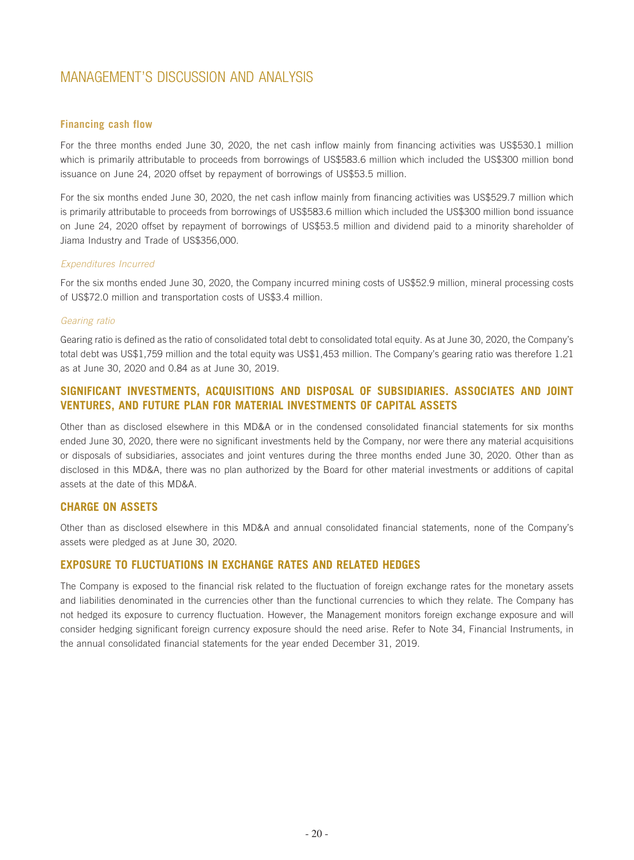#### **Financing cash flow**

For the three months ended June 30, 2020, the net cash inflow mainly from financing activities was US\$530.1 million which is primarily attributable to proceeds from borrowings of US\$583.6 million which included the US\$300 million bond issuance on June 24, 2020 offset by repayment of borrowings of US\$53.5 million.

For the six months ended June 30, 2020, the net cash inflow mainly from financing activities was US\$529.7 million which is primarily attributable to proceeds from borrowings of US\$583.6 million which included the US\$300 million bond issuance on June 24, 2020 offset by repayment of borrowings of US\$53.5 million and dividend paid to a minority shareholder of Jiama Industry and Trade of US\$356,000.

#### *Expenditures Incurred*

For the six months ended June 30, 2020, the Company incurred mining costs of US\$52.9 million, mineral processing costs of US\$72.0 million and transportation costs of US\$3.4 million.

#### *Gearing ratio*

Gearing ratio is defined as the ratio of consolidated total debt to consolidated total equity. As at June 30, 2020, the Company's total debt was US\$1,759 million and the total equity was US\$1,453 million. The Company's gearing ratio was therefore 1.21 as at June 30, 2020 and 0.84 as at June 30, 2019.

## **SIGNIFICANT INVESTMENTS, ACQUISITIONS AND DISPOSAL OF SUBSIDIARIES. ASSOCIATES AND JOINT VENTURES, AND FUTURE PLAN FOR MATERIAL INVESTMENTS OF CAPITAL ASSETS**

Other than as disclosed elsewhere in this MD&A or in the condensed consolidated financial statements for six months ended June 30, 2020, there were no significant investments held by the Company, nor were there any material acquisitions or disposals of subsidiaries, associates and joint ventures during the three months ended June 30, 2020. Other than as disclosed in this MD&A, there was no plan authorized by the Board for other material investments or additions of capital assets at the date of this MD&A.

#### **CHARGE ON ASSETS**

Other than as disclosed elsewhere in this MD&A and annual consolidated financial statements, none of the Company's assets were pledged as at June 30, 2020.

#### **EXPOSURE TO FLUCTUATIONS IN EXCHANGE RATES AND RELATED HEDGES**

The Company is exposed to the financial risk related to the fluctuation of foreign exchange rates for the monetary assets and liabilities denominated in the currencies other than the functional currencies to which they relate. The Company has not hedged its exposure to currency fluctuation. However, the Management monitors foreign exchange exposure and will consider hedging significant foreign currency exposure should the need arise. Refer to Note 34, Financial Instruments, in the annual consolidated financial statements for the year ended December 31, 2019.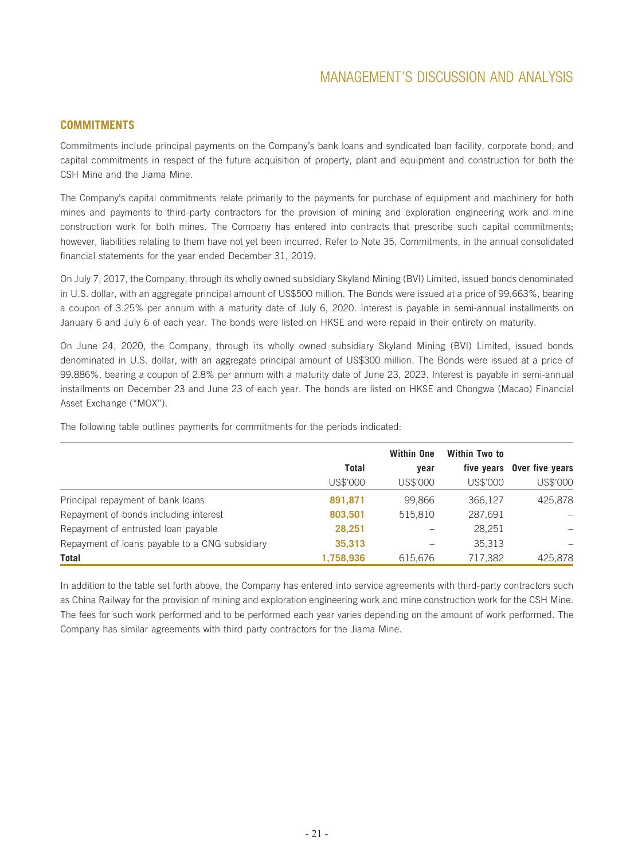## **COMMITMENTS**

Commitments include principal payments on the Company's bank loans and syndicated loan facility, corporate bond, and capital commitments in respect of the future acquisition of property, plant and equipment and construction for both the CSH Mine and the Jiama Mine.

The Company's capital commitments relate primarily to the payments for purchase of equipment and machinery for both mines and payments to third-party contractors for the provision of mining and exploration engineering work and mine construction work for both mines. The Company has entered into contracts that prescribe such capital commitments; however, liabilities relating to them have not yet been incurred. Refer to Note 35, Commitments, in the annual consolidated financial statements for the year ended December 31, 2019.

On July 7, 2017, the Company, through its wholly owned subsidiary Skyland Mining (BVI) Limited, issued bonds denominated in U.S. dollar, with an aggregate principal amount of US\$500 million. The Bonds were issued at a price of 99.663%, bearing a coupon of 3.25% per annum with a maturity date of July 6, 2020. Interest is payable in semi-annual installments on January 6 and July 6 of each year. The bonds were listed on HKSE and were repaid in their entirety on maturity.

On June 24, 2020, the Company, through its wholly owned subsidiary Skyland Mining (BVI) Limited, issued bonds denominated in U.S. dollar, with an aggregate principal amount of US\$300 million. The Bonds were issued at a price of 99.886%, bearing a coupon of 2.8% per annum with a maturity date of June 23, 2023. Interest is payable in semi-annual installments on December 23 and June 23 of each year. The bonds are listed on HKSE and Chongwa (Macao) Financial Asset Exchange ("MOX").

|                                                |              | <b>Within One</b> | Within Two to |                            |
|------------------------------------------------|--------------|-------------------|---------------|----------------------------|
|                                                | <b>Total</b> | year              |               | five years Over five years |
|                                                | US\$'000     | US\$'000          | US\$'000      | US\$'000                   |
| Principal repayment of bank loans              | 891,871      | 99.866            | 366,127       | 425,878                    |
| Repayment of bonds including interest          | 803,501      | 515.810           | 287,691       |                            |
| Repayment of entrusted loan payable            | 28,251       |                   | 28,251        |                            |
| Repayment of loans payable to a CNG subsidiary | 35,313       |                   | 35,313        |                            |
| Total                                          | 1,758,936    | 615,676           | 717,382       | 425.878                    |

The following table outlines payments for commitments for the periods indicated:

In addition to the table set forth above, the Company has entered into service agreements with third-party contractors such as China Railway for the provision of mining and exploration engineering work and mine construction work for the CSH Mine. The fees for such work performed and to be performed each year varies depending on the amount of work performed. The Company has similar agreements with third party contractors for the Jiama Mine.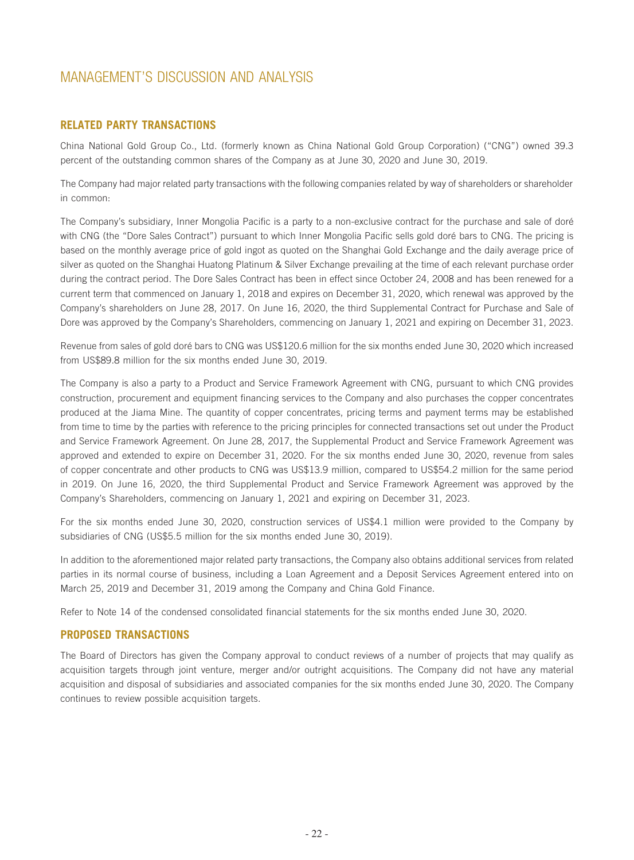## **RELATED PARTY TRANSACTIONS**

China National Gold Group Co., Ltd. (formerly known as China National Gold Group Corporation) ("CNG") owned 39.3 percent of the outstanding common shares of the Company as at June 30, 2020 and June 30, 2019.

The Company had major related party transactions with the following companies related by way of shareholders or shareholder in common:

The Company's subsidiary, Inner Mongolia Pacific is a party to a non-exclusive contract for the purchase and sale of doré with CNG (the "Dore Sales Contract") pursuant to which Inner Mongolia Pacific sells gold doré bars to CNG. The pricing is based on the monthly average price of gold ingot as quoted on the Shanghai Gold Exchange and the daily average price of silver as quoted on the Shanghai Huatong Platinum & Silver Exchange prevailing at the time of each relevant purchase order during the contract period. The Dore Sales Contract has been in effect since October 24, 2008 and has been renewed for a current term that commenced on January 1, 2018 and expires on December 31, 2020, which renewal was approved by the Company's shareholders on June 28, 2017. On June 16, 2020, the third Supplemental Contract for Purchase and Sale of Dore was approved by the Company's Shareholders, commencing on January 1, 2021 and expiring on December 31, 2023.

Revenue from sales of gold doré bars to CNG was US\$120.6 million for the six months ended June 30, 2020 which increased from US\$89.8 million for the six months ended June 30, 2019.

The Company is also a party to a Product and Service Framework Agreement with CNG, pursuant to which CNG provides construction, procurement and equipment financing services to the Company and also purchases the copper concentrates produced at the Jiama Mine. The quantity of copper concentrates, pricing terms and payment terms may be established from time to time by the parties with reference to the pricing principles for connected transactions set out under the Product and Service Framework Agreement. On June 28, 2017, the Supplemental Product and Service Framework Agreement was approved and extended to expire on December 31, 2020. For the six months ended June 30, 2020, revenue from sales of copper concentrate and other products to CNG was US\$13.9 million, compared to US\$54.2 million for the same period in 2019. On June 16, 2020, the third Supplemental Product and Service Framework Agreement was approved by the Company's Shareholders, commencing on January 1, 2021 and expiring on December 31, 2023.

For the six months ended June 30, 2020, construction services of US\$4.1 million were provided to the Company by subsidiaries of CNG (US\$5.5 million for the six months ended June 30, 2019).

In addition to the aforementioned major related party transactions, the Company also obtains additional services from related parties in its normal course of business, including a Loan Agreement and a Deposit Services Agreement entered into on March 25, 2019 and December 31, 2019 among the Company and China Gold Finance.

Refer to Note 14 of the condensed consolidated financial statements for the six months ended June 30, 2020.

## **PROPOSED TRANSACTIONS**

The Board of Directors has given the Company approval to conduct reviews of a number of projects that may qualify as acquisition targets through joint venture, merger and/or outright acquisitions. The Company did not have any material acquisition and disposal of subsidiaries and associated companies for the six months ended June 30, 2020. The Company continues to review possible acquisition targets.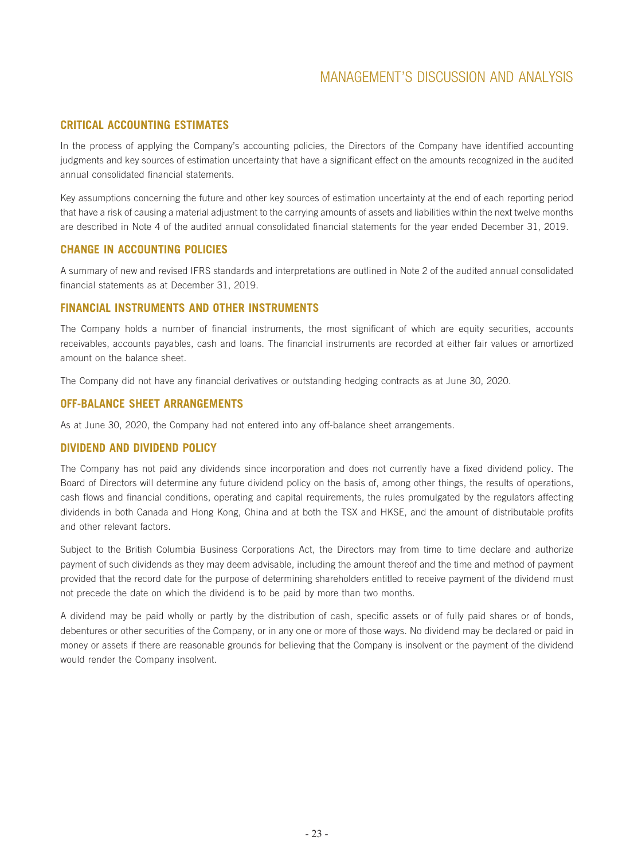## **CRITICAL ACCOUNTING ESTIMATES**

In the process of applying the Company's accounting policies, the Directors of the Company have identified accounting judgments and key sources of estimation uncertainty that have a significant effect on the amounts recognized in the audited annual consolidated financial statements.

Key assumptions concerning the future and other key sources of estimation uncertainty at the end of each reporting period that have a risk of causing a material adjustment to the carrying amounts of assets and liabilities within the next twelve months are described in Note 4 of the audited annual consolidated financial statements for the year ended December 31, 2019.

## **CHANGE IN ACCOUNTING POLICIES**

A summary of new and revised IFRS standards and interpretations are outlined in Note 2 of the audited annual consolidated financial statements as at December 31, 2019.

## **FINANCIAL INSTRUMENTS AND OTHER INSTRUMENTS**

The Company holds a number of financial instruments, the most significant of which are equity securities, accounts receivables, accounts payables, cash and loans. The financial instruments are recorded at either fair values or amortized amount on the balance sheet.

The Company did not have any financial derivatives or outstanding hedging contracts as at June 30, 2020.

## **OFF-BALANCE SHEET ARRANGEMENTS**

As at June 30, 2020, the Company had not entered into any off-balance sheet arrangements.

## **DIVIDEND AND DIVIDEND POLICY**

The Company has not paid any dividends since incorporation and does not currently have a fixed dividend policy. The Board of Directors will determine any future dividend policy on the basis of, among other things, the results of operations, cash flows and financial conditions, operating and capital requirements, the rules promulgated by the regulators affecting dividends in both Canada and Hong Kong, China and at both the TSX and HKSE, and the amount of distributable profits and other relevant factors.

Subject to the British Columbia Business Corporations Act, the Directors may from time to time declare and authorize payment of such dividends as they may deem advisable, including the amount thereof and the time and method of payment provided that the record date for the purpose of determining shareholders entitled to receive payment of the dividend must not precede the date on which the dividend is to be paid by more than two months.

A dividend may be paid wholly or partly by the distribution of cash, specific assets or of fully paid shares or of bonds, debentures or other securities of the Company, or in any one or more of those ways. No dividend may be declared or paid in money or assets if there are reasonable grounds for believing that the Company is insolvent or the payment of the dividend would render the Company insolvent.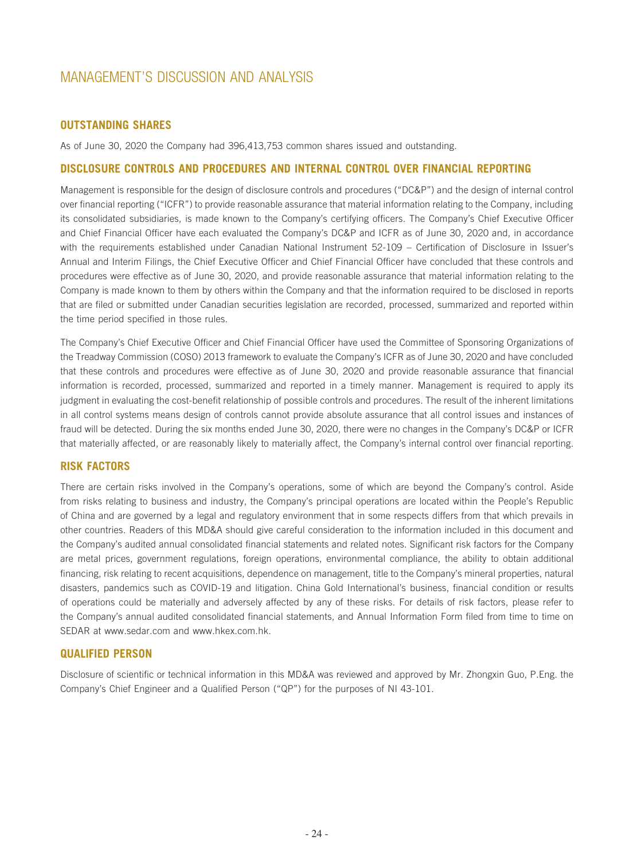## **OUTSTANDING SHARES**

As of June 30, 2020 the Company had 396,413,753 common shares issued and outstanding.

#### **DISCLOSURE CONTROLS AND PROCEDURES AND INTERNAL CONTROL OVER FINANCIAL REPORTING**

Management is responsible for the design of disclosure controls and procedures ("DC&P") and the design of internal control over financial reporting ("ICFR") to provide reasonable assurance that material information relating to the Company, including its consolidated subsidiaries, is made known to the Company's certifying officers. The Company's Chief Executive Officer and Chief Financial Officer have each evaluated the Company's DC&P and ICFR as of June 30, 2020 and, in accordance with the requirements established under Canadian National Instrument 52-109 – Certification of Disclosure in Issuer's Annual and Interim Filings, the Chief Executive Officer and Chief Financial Officer have concluded that these controls and procedures were effective as of June 30, 2020, and provide reasonable assurance that material information relating to the Company is made known to them by others within the Company and that the information required to be disclosed in reports that are filed or submitted under Canadian securities legislation are recorded, processed, summarized and reported within the time period specified in those rules.

The Company's Chief Executive Officer and Chief Financial Officer have used the Committee of Sponsoring Organizations of the Treadway Commission (COSO) 2013 framework to evaluate the Company's ICFR as of June 30, 2020 and have concluded that these controls and procedures were effective as of June 30, 2020 and provide reasonable assurance that financial information is recorded, processed, summarized and reported in a timely manner. Management is required to apply its judgment in evaluating the cost-benefit relationship of possible controls and procedures. The result of the inherent limitations in all control systems means design of controls cannot provide absolute assurance that all control issues and instances of fraud will be detected. During the six months ended June 30, 2020, there were no changes in the Company's DC&P or ICFR that materially affected, or are reasonably likely to materially affect, the Company's internal control over financial reporting.

## **RISK FACTORS**

There are certain risks involved in the Company's operations, some of which are beyond the Company's control. Aside from risks relating to business and industry, the Company's principal operations are located within the People's Republic of China and are governed by a legal and regulatory environment that in some respects differs from that which prevails in other countries. Readers of this MD&A should give careful consideration to the information included in this document and the Company's audited annual consolidated financial statements and related notes. Significant risk factors for the Company are metal prices, government regulations, foreign operations, environmental compliance, the ability to obtain additional financing, risk relating to recent acquisitions, dependence on management, title to the Company's mineral properties, natural disasters, pandemics such as COVID-19 and litigation. China Gold International's business, financial condition or results of operations could be materially and adversely affected by any of these risks. For details of risk factors, please refer to the Company's annual audited consolidated financial statements, and Annual Information Form filed from time to time on SEDAR at www.sedar.com and www.hkex.com.hk.

#### **QUALIFIED PERSON**

Disclosure of scientific or technical information in this MD&A was reviewed and approved by Mr. Zhongxin Guo, P.Eng. the Company's Chief Engineer and a Qualified Person ("QP") for the purposes of NI 43-101.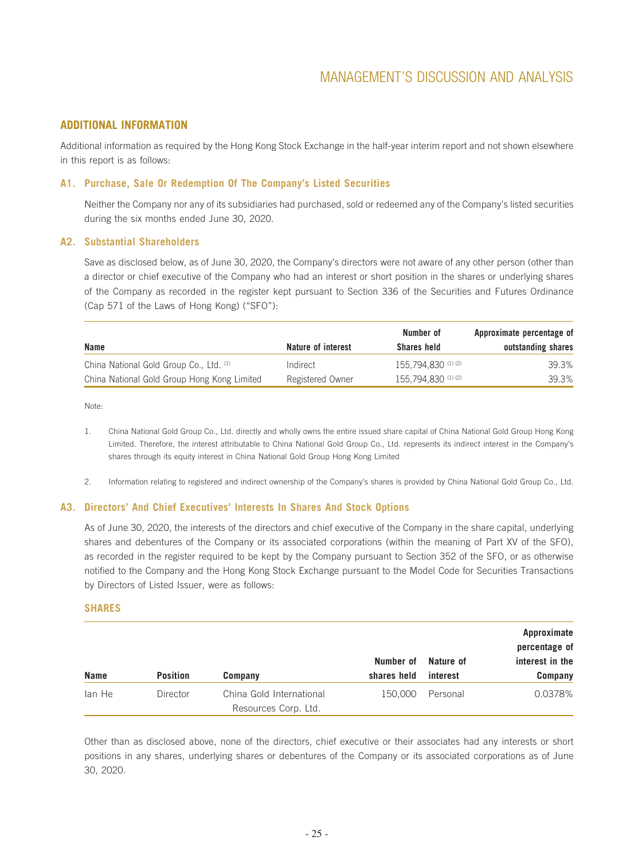## **ADDITIONAL INFORMATION**

Additional information as required by the Hong Kong Stock Exchange in the half-year interim report and not shown elsewhere in this report is as follows:

#### **A1. Purchase, Sale Or Redemption Of The Company's Listed Securities**

Neither the Company nor any of its subsidiaries had purchased, sold or redeemed any of the Company's listed securities during the six months ended June 30, 2020.

#### **A2. Substantial Shareholders**

Save as disclosed below, as of June 30, 2020, the Company's directors were not aware of any other person (other than a director or chief executive of the Company who had an interest or short position in the shares or underlying shares of the Company as recorded in the register kept pursuant to Section 336 of the Securities and Futures Ordinance (Cap 571 of the Laws of Hong Kong) ("SFO"):

|                                             |                    | Number of             | Approximate percentage of |
|---------------------------------------------|--------------------|-----------------------|---------------------------|
| Name                                        | Nature of interest | Shares held           | outstanding shares        |
| China National Gold Group Co., Ltd. (1)     | Indirect           | 155.794.830 (1) (2)   | 39.3%                     |
| China National Gold Group Hong Kong Limited | Registered Owner   | $155.794.830$ (1) (2) | 39.3%                     |

Note:

- 1. China National Gold Group Co., Ltd. directly and wholly owns the entire issued share capital of China National Gold Group Hong Kong Limited. Therefore, the interest attributable to China National Gold Group Co., Ltd. represents its indirect interest in the Company's shares through its equity interest in China National Gold Group Hong Kong Limited
- 2. Information relating to registered and indirect ownership of the Company's shares is provided by China National Gold Group Co., Ltd.

#### **A3. Directors' And Chief Executives' Interests In Shares And Stock Options**

As of June 30, 2020, the interests of the directors and chief executive of the Company in the share capital, underlying shares and debentures of the Company or its associated corporations (within the meaning of Part XV of the SFO), as recorded in the register required to be kept by the Company pursuant to Section 352 of the SFO, or as otherwise notified to the Company and the Hong Kong Stock Exchange pursuant to the Model Code for Securities Transactions by Directors of Listed Issuer, were as follows:

#### **SHARES**

|             |                 |                                                  | Number of   | Nature of | Approximate<br>percentage of<br>interest in the |
|-------------|-----------------|--------------------------------------------------|-------------|-----------|-------------------------------------------------|
| <b>Name</b> | <b>Position</b> | Company                                          | shares held | interest  | Company                                         |
| lan He      | Director        | China Gold International<br>Resources Corp. Ltd. | 150,000     | Personal  | 0.0378%                                         |

Other than as disclosed above, none of the directors, chief executive or their associates had any interests or short positions in any shares, underlying shares or debentures of the Company or its associated corporations as of June 30, 2020.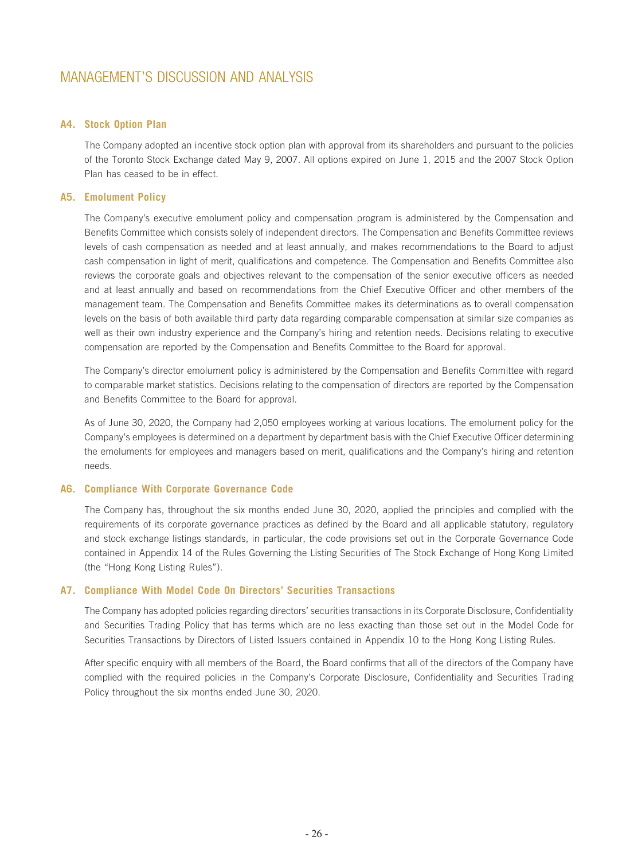#### **A4. Stock Option Plan**

The Company adopted an incentive stock option plan with approval from its shareholders and pursuant to the policies of the Toronto Stock Exchange dated May 9, 2007. All options expired on June 1, 2015 and the 2007 Stock Option Plan has ceased to be in effect.

#### **A5. Emolument Policy**

The Company's executive emolument policy and compensation program is administered by the Compensation and Benefits Committee which consists solely of independent directors. The Compensation and Benefits Committee reviews levels of cash compensation as needed and at least annually, and makes recommendations to the Board to adjust cash compensation in light of merit, qualifications and competence. The Compensation and Benefits Committee also reviews the corporate goals and objectives relevant to the compensation of the senior executive officers as needed and at least annually and based on recommendations from the Chief Executive Officer and other members of the management team. The Compensation and Benefits Committee makes its determinations as to overall compensation levels on the basis of both available third party data regarding comparable compensation at similar size companies as well as their own industry experience and the Company's hiring and retention needs. Decisions relating to executive compensation are reported by the Compensation and Benefits Committee to the Board for approval.

The Company's director emolument policy is administered by the Compensation and Benefits Committee with regard to comparable market statistics. Decisions relating to the compensation of directors are reported by the Compensation and Benefits Committee to the Board for approval.

As of June 30, 2020, the Company had 2,050 employees working at various locations. The emolument policy for the Company's employees is determined on a department by department basis with the Chief Executive Officer determining the emoluments for employees and managers based on merit, qualifications and the Company's hiring and retention needs.

#### **A6. Compliance With Corporate Governance Code**

The Company has, throughout the six months ended June 30, 2020, applied the principles and complied with the requirements of its corporate governance practices as defined by the Board and all applicable statutory, regulatory and stock exchange listings standards, in particular, the code provisions set out in the Corporate Governance Code contained in Appendix 14 of the Rules Governing the Listing Securities of The Stock Exchange of Hong Kong Limited (the "Hong Kong Listing Rules").

#### **A7. Compliance With Model Code On Directors' Securities Transactions**

The Company has adopted policies regarding directors' securities transactions in its Corporate Disclosure, Confidentiality and Securities Trading Policy that has terms which are no less exacting than those set out in the Model Code for Securities Transactions by Directors of Listed Issuers contained in Appendix 10 to the Hong Kong Listing Rules.

After specific enquiry with all members of the Board, the Board confirms that all of the directors of the Company have complied with the required policies in the Company's Corporate Disclosure, Confidentiality and Securities Trading Policy throughout the six months ended June 30, 2020.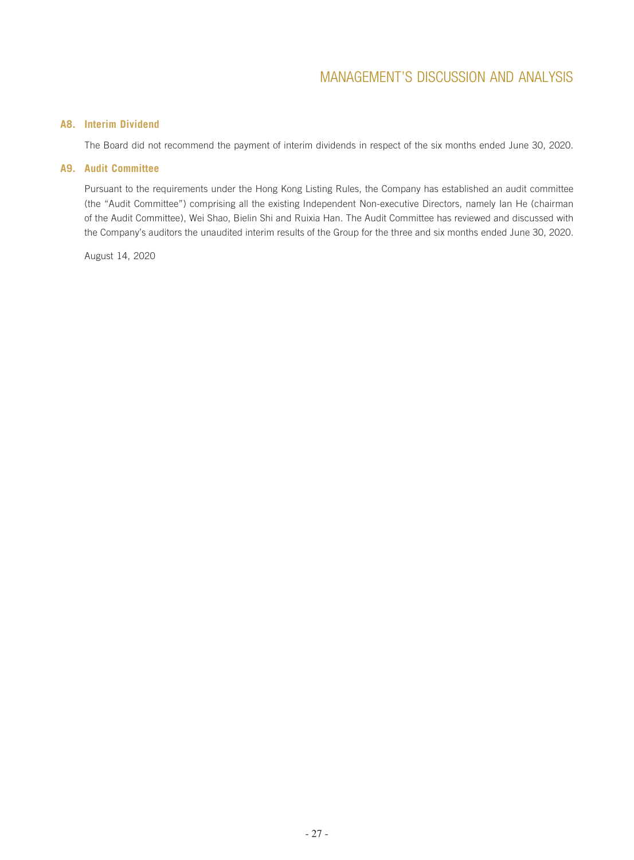## **A8. Interim Dividend**

The Board did not recommend the payment of interim dividends in respect of the six months ended June 30, 2020.

#### **A9. Audit Committee**

Pursuant to the requirements under the Hong Kong Listing Rules, the Company has established an audit committee (the "Audit Committee") comprising all the existing Independent Non-executive Directors, namely Ian He (chairman of the Audit Committee), Wei Shao, Bielin Shi and Ruixia Han. The Audit Committee has reviewed and discussed with the Company's auditors the unaudited interim results of the Group for the three and six months ended June 30, 2020.

August 14, 2020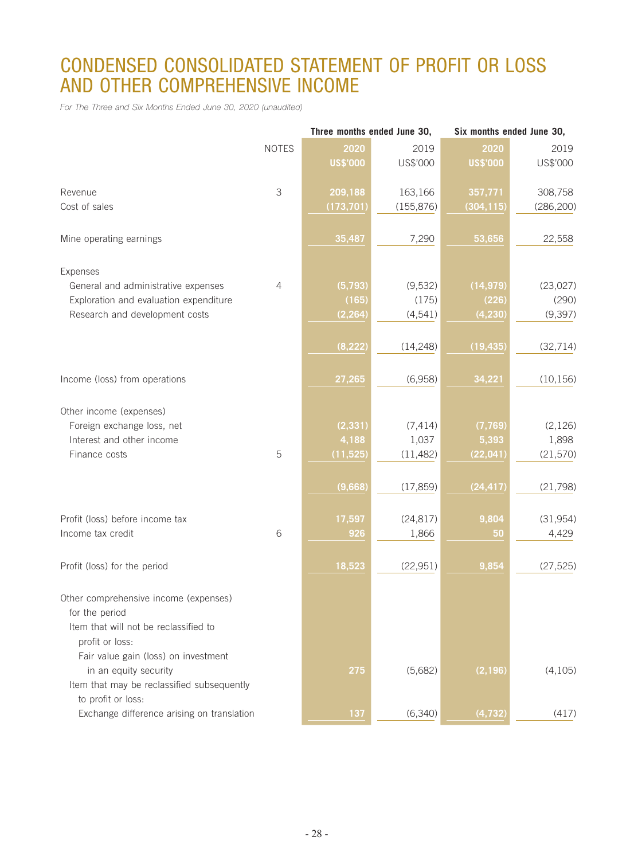# CONDENSED CONSOLIDATED STATEMENT OF PROFIT OR LOSS AND OTHER COMPREHENSIVE INCOME

*For The Three and Six Months Ended June 30, 2020 (unaudited)*

|                                                         |              |                 | Three months ended June 30, | Six months ended June 30, |            |
|---------------------------------------------------------|--------------|-----------------|-----------------------------|---------------------------|------------|
|                                                         | <b>NOTES</b> | 2020            | 2019                        | 2020                      | 2019       |
|                                                         |              | <b>US\$'000</b> | US\$'000                    | <b>US\$'000</b>           | US\$'000   |
| Revenue                                                 | 3            | 209,188         | 163,166                     | 357,771                   | 308,758    |
| Cost of sales                                           |              | (173, 701)      | (155, 876)                  | (304, 115)                | (286, 200) |
|                                                         |              |                 |                             |                           |            |
| Mine operating earnings                                 |              | 35,487          | 7,290                       | 53,656                    | 22,558     |
| Expenses                                                |              |                 |                             |                           |            |
| General and administrative expenses                     | 4            | (5,793)         | (9,532)                     | (14, 979)                 | (23,027)   |
| Exploration and evaluation expenditure                  |              | (165)           | (175)                       | (226)                     | (290)      |
| Research and development costs                          |              | (2, 264)        | (4, 541)                    | (4, 230)                  | (9, 397)   |
|                                                         |              |                 |                             |                           |            |
|                                                         |              | (8, 222)        | (14, 248)                   | (19, 435)                 | (32, 714)  |
| Income (loss) from operations                           |              | 27,265          | (6,958)                     | 34,221                    | (10, 156)  |
| Other income (expenses)                                 |              |                 |                             |                           |            |
| Foreign exchange loss, net                              |              | (2, 331)        | (7, 414)                    | (7, 769)                  | (2, 126)   |
| Interest and other income                               |              | 4,188           | 1,037                       | 5,393                     | 1,898      |
| Finance costs                                           | 5            | (11, 525)       | (11, 482)                   | (22, 041)                 | (21, 570)  |
|                                                         |              |                 |                             |                           |            |
|                                                         |              | (9,668)         | (17, 859)                   | (24, 417)                 | (21, 798)  |
|                                                         |              |                 |                             |                           |            |
| Profit (loss) before income tax                         |              | 17,597          | (24, 817)                   | 9,804                     | (31, 954)  |
| Income tax credit                                       | 6            | 926             | 1,866                       | 50                        | 4,429      |
| Profit (loss) for the period                            |              | 18,523          | (22, 951)                   | 9,854                     | (27, 525)  |
|                                                         |              |                 |                             |                           |            |
| Other comprehensive income (expenses)                   |              |                 |                             |                           |            |
| for the period<br>Item that will not be reclassified to |              |                 |                             |                           |            |
|                                                         |              |                 |                             |                           |            |
| profit or loss:<br>Fair value gain (loss) on investment |              |                 |                             |                           |            |
| in an equity security                                   |              |                 | (5,682)                     | (2, 196)                  | (4, 105)   |
| Item that may be reclassified subsequently              |              | 275             |                             |                           |            |
| to profit or loss:                                      |              |                 |                             |                           |            |
| Exchange difference arising on translation              |              | 137             | (6,340)                     | (4, 732)                  | (417)      |
|                                                         |              |                 |                             |                           |            |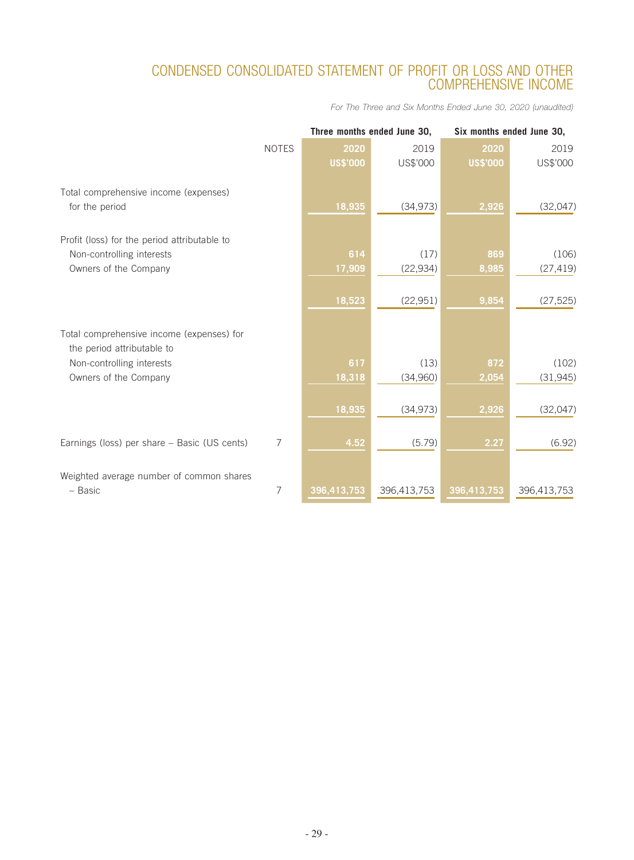# CONDENSED CONSOLIDATED STATEMENT OF PROFIT OR LOSS AND OTHER COMPREHENSIVE INCOME

*For The Three and Six Months Ended June 30, 2020 (unaudited)*

|                                              |              | Three months ended June 30, |             | Six months ended June 30, |             |  |
|----------------------------------------------|--------------|-----------------------------|-------------|---------------------------|-------------|--|
|                                              | <b>NOTES</b> | 2020                        | 2019        | 2020                      | 2019        |  |
|                                              |              | <b>US\$'000</b>             | US\$'000    | <b>US\$'000</b>           | US\$'000    |  |
| Total comprehensive income (expenses)        |              |                             |             |                           |             |  |
| for the period                               |              | 18,935                      | (34, 973)   | 2,926                     | (32,047)    |  |
| Profit (loss) for the period attributable to |              |                             |             |                           |             |  |
| Non-controlling interests                    |              | 614                         | (17)        | 869                       | (106)       |  |
| Owners of the Company                        |              | 17,909                      | (22, 934)   | 8,985                     | (27, 419)   |  |
|                                              |              |                             |             |                           |             |  |
|                                              |              | 18,523                      | (22, 951)   | 9,854                     | (27, 525)   |  |
| Total comprehensive income (expenses) for    |              |                             |             |                           |             |  |
| the period attributable to                   |              |                             |             |                           |             |  |
| Non-controlling interests                    |              | 617                         | (13)        | 872                       | (102)       |  |
| Owners of the Company                        |              | 18,318                      | (34,960)    | 2,054                     | (31, 945)   |  |
|                                              |              | 18,935                      | (34, 973)   | 2,926                     | (32,047)    |  |
|                                              |              |                             |             |                           |             |  |
| Earnings (loss) per share - Basic (US cents) | 7            | 4.52                        | (5.79)      | 2.27                      | (6.92)      |  |
| Weighted average number of common shares     |              |                             |             |                           |             |  |
| - Basic                                      | 7            | 396,413,753                 | 396,413,753 | 396,413,753               | 396,413,753 |  |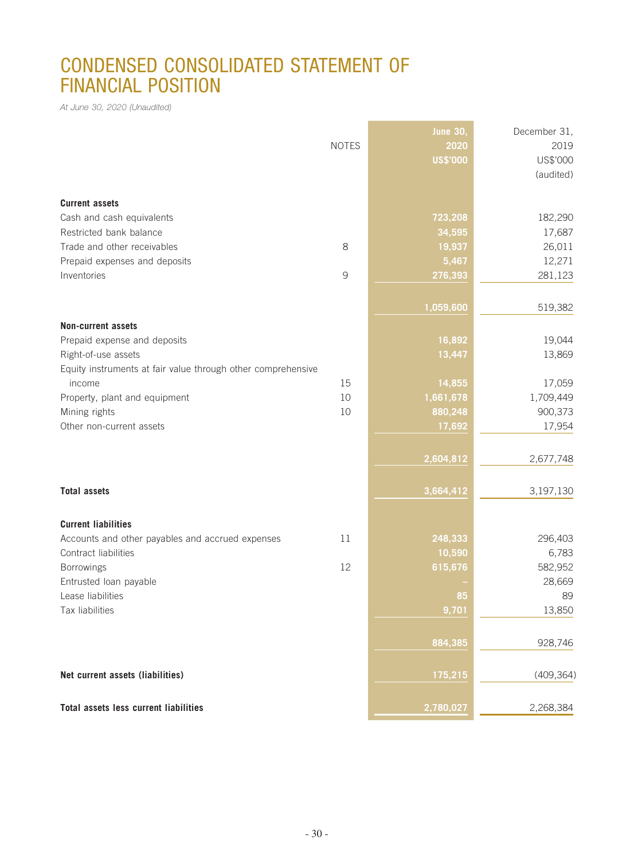# CONDENSED CONSOLIDATED STATEMENT OF FINANCIAL POSITION

*At June 30, 2020 (Unaudited)*

|                                                              |               | <b>June 30,</b> | December 31, |
|--------------------------------------------------------------|---------------|-----------------|--------------|
|                                                              | <b>NOTES</b>  | 2020            | 2019         |
|                                                              |               | <b>US\$'000</b> | US\$'000     |
|                                                              |               |                 | (audited)    |
|                                                              |               |                 |              |
| <b>Current assets</b>                                        |               |                 |              |
| Cash and cash equivalents                                    |               | 723,208         | 182,290      |
| Restricted bank balance                                      |               | 34,595          | 17,687       |
| Trade and other receivables                                  | 8             | 19,937          | 26,011       |
| Prepaid expenses and deposits                                |               | 5,467           | 12,271       |
| Inventories                                                  | $\mathcal{G}$ | 276,393         | 281,123      |
|                                                              |               |                 |              |
|                                                              |               | 1,059,600       | 519,382      |
| <b>Non-current assets</b>                                    |               |                 |              |
| Prepaid expense and deposits                                 |               | 16,892          | 19,044       |
| Right-of-use assets                                          |               | 13,447          | 13,869       |
| Equity instruments at fair value through other comprehensive |               |                 |              |
| income                                                       | 15            | 14,855          | 17,059       |
| Property, plant and equipment                                | 10            | 1,661,678       | 1,709,449    |
| Mining rights                                                | 10            | 880,248         | 900,373      |
| Other non-current assets                                     |               | 17,692          | 17,954       |
|                                                              |               |                 |              |
|                                                              |               | 2,604,812       | 2,677,748    |
|                                                              |               |                 |              |
| <b>Total assets</b>                                          |               | 3,664,412       | 3,197,130    |
|                                                              |               |                 |              |
| <b>Current liabilities</b>                                   |               |                 |              |
| Accounts and other payables and accrued expenses             | 11            | 248,333         | 296,403      |
| Contract liabilities                                         |               | 10,590          | 6,783        |
| Borrowings                                                   | 12            | 615,676         | 582,952      |
| Entrusted loan payable                                       |               |                 | 28,669       |
| Lease liabilities                                            |               | 85              | 89           |
| Tax liabilities                                              |               | 9,701           | 13,850       |
|                                                              |               |                 |              |
|                                                              |               | 884,385         | 928,746      |
| Net current assets (liabilities)                             |               | 175,215         | (409, 364)   |
|                                                              |               |                 |              |
| Total assets less current liabilities                        |               | 2,780,027       | 2,268,384    |

**Service Control of the Control of the Control**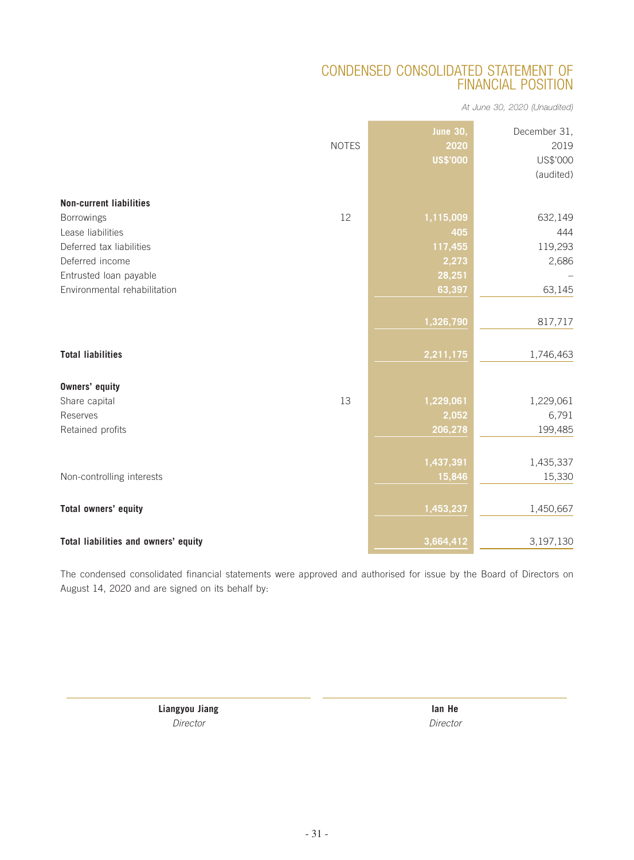# CONDENSED CONSOLIDATED STATEMENT OF FINANCIAL POSITION

*At June 30, 2020 (Unaudited)*

|                                      | <b>NOTES</b> | <b>June 30,</b><br>2020<br><b>US\$'000</b> | December 31,<br>2019<br>US\$'000<br>(audited) |
|--------------------------------------|--------------|--------------------------------------------|-----------------------------------------------|
| <b>Non-current liabilities</b>       |              |                                            |                                               |
| <b>Borrowings</b>                    | 12           | 1,115,009                                  | 632,149                                       |
| Lease liabilities                    |              | 405                                        | 444                                           |
| Deferred tax liabilities             |              | 117,455                                    | 119,293                                       |
| Deferred income                      |              | 2,273                                      | 2,686                                         |
| Entrusted loan payable               |              | 28,251                                     |                                               |
| Environmental rehabilitation         |              | 63,397                                     | 63,145                                        |
|                                      |              |                                            |                                               |
|                                      |              | 1,326,790                                  | 817,717                                       |
|                                      |              |                                            |                                               |
| <b>Total liabilities</b>             |              | 2,211,175                                  | 1,746,463                                     |
|                                      |              |                                            |                                               |
| <b>Owners' equity</b>                |              |                                            |                                               |
| Share capital                        | 13           | 1,229,061                                  | 1,229,061                                     |
| Reserves                             |              | 2,052                                      | 6,791                                         |
| Retained profits                     |              | 206,278                                    | 199,485                                       |
|                                      |              |                                            |                                               |
|                                      |              | 1,437,391                                  | 1,435,337                                     |
| Non-controlling interests            |              | 15,846                                     | 15,330                                        |
|                                      |              |                                            |                                               |
| Total owners' equity                 |              | 1,453,237                                  | 1,450,667                                     |
|                                      |              |                                            |                                               |
| Total liabilities and owners' equity |              | 3,664,412                                  | 3,197,130                                     |

The condensed consolidated financial statements were approved and authorised for issue by the Board of Directors on August 14, 2020 and are signed on its behalf by:

> **Liangyou Jiang Ian He** *Director Director*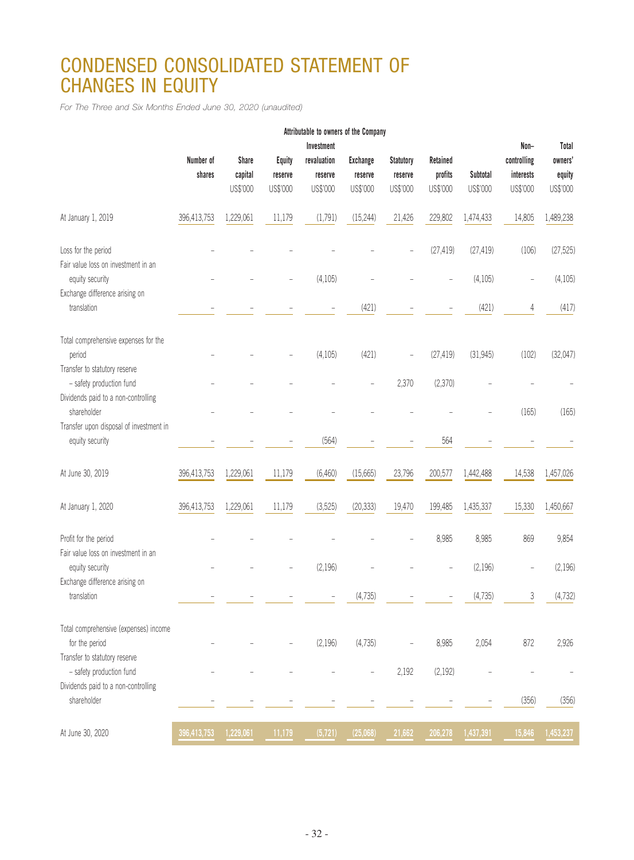# CONDENSED CONSOLIDATED STATEMENT OF CHANGES IN EQUITY

*For The Three and Six Months Ended June 30, 2020 (unaudited)*

|                                                                                                                  |             |              |               | Attributable to owners of the Company |                 |                  |           |           |                          |           |
|------------------------------------------------------------------------------------------------------------------|-------------|--------------|---------------|---------------------------------------|-----------------|------------------|-----------|-----------|--------------------------|-----------|
|                                                                                                                  |             |              |               | Investment                            |                 |                  |           |           | Non-                     | Total     |
|                                                                                                                  | Number of   | <b>Share</b> | <b>Equity</b> | revaluation                           | <b>Exchange</b> | <b>Statutory</b> | Retained  |           | controlling              | owners'   |
|                                                                                                                  | shares      | capital      | reserve       | reserve                               | reserve         | reserve          | profits   | Subtotal  | interests                | equity    |
|                                                                                                                  |             | US\$'000     | US\$'000      | US\$'000                              | US\$'000        | US\$'000         | US\$'000  | US\$'000  | US\$'000                 | US\$'000  |
| At January 1, 2019                                                                                               | 396,413,753 | 1,229,061    | 11,179        | (1,791)                               | (15, 244)       | 21,426           | 229,802   | 1,474,433 | 14,805                   | 1,489,238 |
| Loss for the period<br>Fair value loss on investment in an                                                       |             |              |               |                                       |                 |                  | (27, 419) | (27, 419) | (106)                    | (27, 525) |
| equity security<br>Exchange difference arising on                                                                |             |              |               | (4, 105)                              |                 |                  | L,        | (4, 105)  | $\overline{\phantom{0}}$ | (4, 105)  |
| translation                                                                                                      |             |              |               |                                       | (421)           |                  |           | (421)     | 4                        | (417)     |
| Total comprehensive expenses for the<br>period                                                                   |             |              |               | (4, 105)                              | (421)           |                  | (27, 419) | (31, 945) | (102)                    | (32,047)  |
| Transfer to statutory reserve<br>- safety production fund                                                        |             |              |               |                                       |                 | 2,370            | (2,370)   |           |                          |           |
| Dividends paid to a non-controlling<br>shareholder<br>Transfer upon disposal of investment in<br>equity security |             |              |               |                                       |                 |                  |           |           | (165)                    | (165)     |
|                                                                                                                  |             |              |               | (564)                                 |                 |                  | 564       |           |                          |           |
| At June 30, 2019                                                                                                 | 396,413,753 | 1,229,061    | 11,179        | (6,460)                               | (15,665)        | 23,796           | 200,577   | 1,442,488 | 14,538                   | 1,457,026 |
| At January 1, 2020                                                                                               | 396,413,753 | 1,229,061    | 11,179        | (3,525)                               | (20, 333)       | 19,470           | 199,485   | 1,435,337 | 15,330                   | 1,450,667 |
| Profit for the period<br>Fair value loss on investment in an                                                     |             |              |               |                                       |                 |                  | 8,985     | 8,985     | 869                      | 9,854     |
| equity security<br>Exchange difference arising on                                                                |             |              |               | (2, 196)                              |                 |                  |           | (2,196)   |                          | (2, 196)  |
| translation                                                                                                      |             |              |               |                                       | (4, 735)        |                  |           | (4, 735)  | 3                        | (4, 732)  |
| Total comprehensive (expenses) income<br>for the period                                                          |             |              |               | (2, 196)                              | (4,735)         |                  | 8,985     | 2,054     | 872                      | 2,926     |
| Transfer to statutory reserve                                                                                    |             |              |               |                                       |                 |                  |           |           |                          |           |
| - safety production fund<br>Dividends paid to a non-controlling                                                  |             |              |               |                                       |                 | 2,192            | (2, 192)  |           |                          |           |
| shareholder                                                                                                      |             |              |               |                                       |                 |                  |           |           | (356)                    | (356)     |
| At June 30, 2020                                                                                                 | 396,413,753 | 1,229,061    | 11,179        | (5, 721)                              | (25,068)        | 21,662           | 206,278   | 1,437,391 | 15,846                   | 1,453,237 |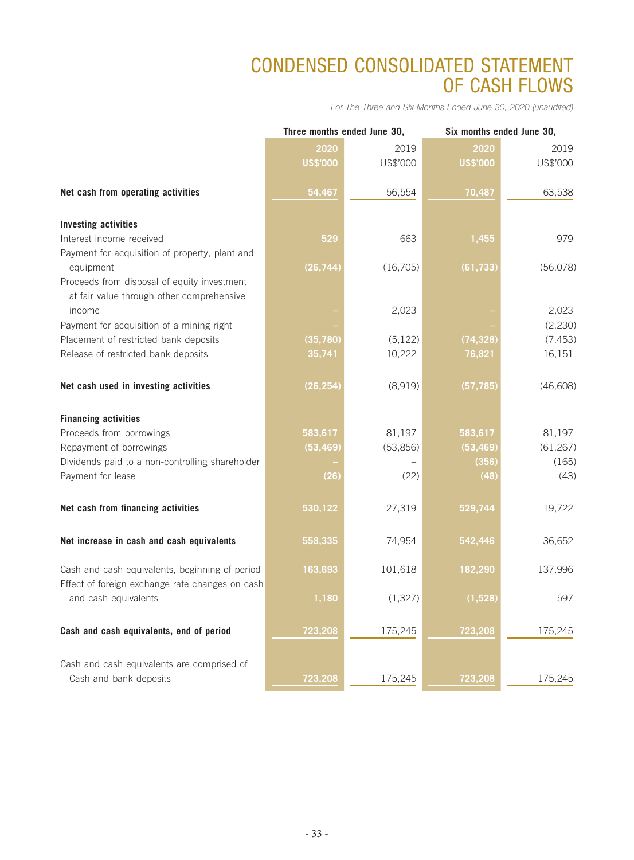# CONDENSED CONSOLIDATED STATEMENT OF CASH FLOWS

*For The Three and Six Months Ended June 30, 2020 (unaudited)*

|                                                             |                 | Three months ended June 30, | Six months ended June 30, |           |  |
|-------------------------------------------------------------|-----------------|-----------------------------|---------------------------|-----------|--|
|                                                             | 2020            | 2019                        | 2020                      | 2019      |  |
|                                                             | <b>US\$'000</b> | US\$'000                    | <b>US\$'000</b>           | US\$'000  |  |
|                                                             |                 |                             |                           |           |  |
| Net cash from operating activities                          | 54,467          | 56,554                      | 70,487                    | 63,538    |  |
|                                                             |                 |                             |                           |           |  |
| <b>Investing activities</b>                                 |                 |                             |                           |           |  |
| Interest income received                                    | 529             | 663                         | 1,455                     | 979       |  |
| Payment for acquisition of property, plant and<br>equipment | (26, 744)       | (16, 705)                   | (61, 733)                 | (56,078)  |  |
| Proceeds from disposal of equity investment                 |                 |                             |                           |           |  |
| at fair value through other comprehensive                   |                 |                             |                           |           |  |
| income                                                      |                 | 2,023                       |                           | 2,023     |  |
| Payment for acquisition of a mining right                   |                 |                             |                           | (2, 230)  |  |
| Placement of restricted bank deposits                       | (35, 780)       | (5, 122)                    | (74, 328)                 | (7, 453)  |  |
| Release of restricted bank deposits                         | 35,741          | 10,222                      | 76,821                    | 16,151    |  |
|                                                             |                 |                             |                           |           |  |
| Net cash used in investing activities                       | (26, 254)       | (8,919)                     | (57, 785)                 | (46, 608) |  |
|                                                             |                 |                             |                           |           |  |
| <b>Financing activities</b>                                 |                 |                             |                           |           |  |
| Proceeds from borrowings                                    | 583,617         | 81,197                      | 583,617                   | 81,197    |  |
| Repayment of borrowings                                     | (53, 469)       | (53,856)                    | (53, 469)                 | (61, 267) |  |
| Dividends paid to a non-controlling shareholder             |                 |                             | (356)                     | (165)     |  |
| Payment for lease                                           | (26)            | (22)                        | (48)                      | (43)      |  |
|                                                             |                 |                             |                           |           |  |
| Net cash from financing activities                          | 530,122         | 27,319                      | 529,744                   | 19,722    |  |
|                                                             |                 |                             |                           |           |  |
| Net increase in cash and cash equivalents                   | 558,335         | 74,954                      | 542,446                   | 36,652    |  |
|                                                             |                 |                             |                           |           |  |
| Cash and cash equivalents, beginning of period              | 163,693         | 101,618                     | 182,290                   | 137,996   |  |
| Effect of foreign exchange rate changes on cash             |                 |                             |                           |           |  |
| and cash equivalents                                        | 1,180           | (1, 327)                    | (1,528)                   | 597       |  |
|                                                             |                 |                             |                           |           |  |
| Cash and cash equivalents, end of period                    | 723,208         | 175,245                     | 723,208                   | 175,245   |  |
|                                                             |                 |                             |                           |           |  |
| Cash and cash equivalents are comprised of                  |                 |                             |                           |           |  |
| Cash and bank deposits                                      | 723,208         | 175,245                     | 723,208                   | 175,245   |  |
|                                                             |                 |                             |                           |           |  |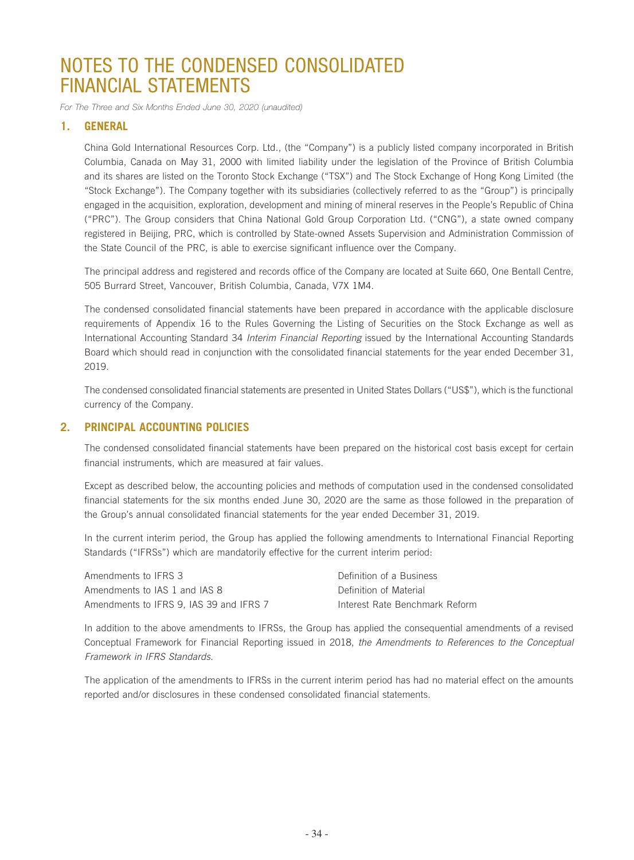*For The Three and Six Months Ended June 30, 2020 (unaudited)*

## **1. GENERAL**

China Gold International Resources Corp. Ltd., (the "Company") is a publicly listed company incorporated in British Columbia, Canada on May 31, 2000 with limited liability under the legislation of the Province of British Columbia and its shares are listed on the Toronto Stock Exchange ("TSX") and The Stock Exchange of Hong Kong Limited (the "Stock Exchange"). The Company together with its subsidiaries (collectively referred to as the "Group") is principally engaged in the acquisition, exploration, development and mining of mineral reserves in the People's Republic of China ("PRC"). The Group considers that China National Gold Group Corporation Ltd. ("CNG"), a state owned company registered in Beijing, PRC, which is controlled by State-owned Assets Supervision and Administration Commission of the State Council of the PRC, is able to exercise significant influence over the Company.

The principal address and registered and records office of the Company are located at Suite 660, One Bentall Centre, 505 Burrard Street, Vancouver, British Columbia, Canada, V7X 1M4.

The condensed consolidated financial statements have been prepared in accordance with the applicable disclosure requirements of Appendix 16 to the Rules Governing the Listing of Securities on the Stock Exchange as well as International Accounting Standard 34 *Interim Financial Reporting* issued by the International Accounting Standards Board which should read in conjunction with the consolidated financial statements for the year ended December 31, 2019.

The condensed consolidated financial statements are presented in United States Dollars ("US\$"), which is the functional currency of the Company.

## **2. PRINCIPAL ACCOUNTING POLICIES**

The condensed consolidated financial statements have been prepared on the historical cost basis except for certain financial instruments, which are measured at fair values.

Except as described below, the accounting policies and methods of computation used in the condensed consolidated financial statements for the six months ended June 30, 2020 are the same as those followed in the preparation of the Group's annual consolidated financial statements for the year ended December 31, 2019.

In the current interim period, the Group has applied the following amendments to International Financial Reporting Standards ("IFRSs") which are mandatorily effective for the current interim period:

| Amendments to IFRS 3                    | Definition of a Business       |
|-----------------------------------------|--------------------------------|
| Amendments to IAS 1 and IAS 8           | Definition of Material         |
| Amendments to IFRS 9, IAS 39 and IFRS 7 | Interest Rate Benchmark Reform |

In addition to the above amendments to IFRSs, the Group has applied the consequential amendments of a revised Conceptual Framework for Financial Reporting issued in 2018, *the Amendments to References to the Conceptual Framework in IFRS Standards*.

The application of the amendments to IFRSs in the current interim period has had no material effect on the amounts reported and/or disclosures in these condensed consolidated financial statements.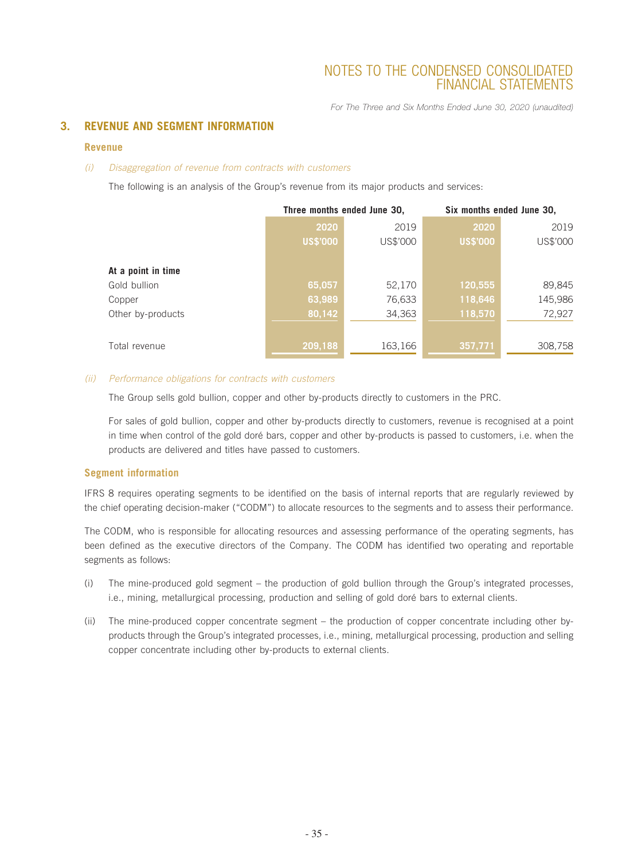*For The Three and Six Months Ended June 30, 2020 (unaudited)*

## **3. REVENUE AND SEGMENT INFORMATION**

#### **Revenue**

#### *(i) Disaggregation of revenue from contracts with customers*

The following is an analysis of the Group's revenue from its major products and services:

|                    |                 | Three months ended June 30, | Six months ended June 30, |          |
|--------------------|-----------------|-----------------------------|---------------------------|----------|
|                    | 2020            | 2019                        | 2020                      | 2019     |
|                    | <b>US\$'000</b> | US\$'000                    | <b>US\$'000</b>           | US\$'000 |
|                    |                 |                             |                           |          |
| At a point in time |                 |                             |                           |          |
| Gold bullion       | 65,057          | 52,170                      | 120,555                   | 89,845   |
| Copper             | 63,989          | 76,633                      | 118,646                   | 145,986  |
| Other by-products  | 80,142          | 34,363                      | 118,570                   | 72,927   |
|                    |                 |                             |                           |          |
| Total revenue      | 209,188         | 163,166                     | 357,771                   | 308,758  |

#### *(ii) Performance obligations for contracts with customers*

The Group sells gold bullion, copper and other by-products directly to customers in the PRC.

For sales of gold bullion, copper and other by-products directly to customers, revenue is recognised at a point in time when control of the gold doré bars, copper and other by-products is passed to customers, i.e. when the products are delivered and titles have passed to customers.

#### **Segment information**

IFRS 8 requires operating segments to be identified on the basis of internal reports that are regularly reviewed by the chief operating decision-maker ("CODM") to allocate resources to the segments and to assess their performance.

The CODM, who is responsible for allocating resources and assessing performance of the operating segments, has been defined as the executive directors of the Company. The CODM has identified two operating and reportable segments as follows:

- (i) The mine-produced gold segment the production of gold bullion through the Group's integrated processes, i.e., mining, metallurgical processing, production and selling of gold doré bars to external clients.
- (ii) The mine-produced copper concentrate segment the production of copper concentrate including other byproducts through the Group's integrated processes, i.e., mining, metallurgical processing, production and selling copper concentrate including other by-products to external clients.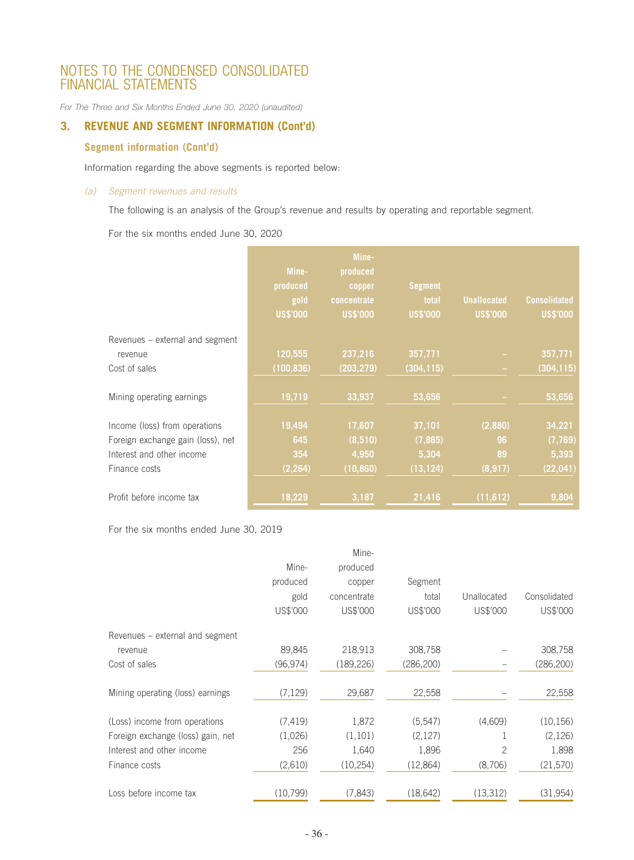*For The Three and Six Months Ended June 30, 2020 (unaudited)*

## **3. REVENUE AND SEGMENT INFORMATION (Cont'd)**

## **Segment information (Cont'd)**

Information regarding the above segments is reported below:

#### *(a) Segment revenues and results*

The following is an analysis of the Group's revenue and results by operating and reportable segment.

For the six months ended June 30, 2020

|                                   | Mine-<br>produced<br>gold<br><b>US\$'000</b> | Mine-<br>produced<br>copper<br>concentrate<br><b>US\$'000</b> | <b>Segment</b><br>total<br><b>US\$'000</b> | <b>Unallocated</b><br><b>US\$'000</b> | <b>Consolidated</b><br><b>US\$'000</b> |
|-----------------------------------|----------------------------------------------|---------------------------------------------------------------|--------------------------------------------|---------------------------------------|----------------------------------------|
| Revenues - external and segment   |                                              |                                                               |                                            |                                       |                                        |
| revenue                           | 120,555                                      | 237,216                                                       | 357,771                                    |                                       | 357,771                                |
| Cost of sales                     | (100, 836)                                   | (203, 279)                                                    | (304, 115)                                 |                                       | (304, 115)                             |
| Mining operating earnings         | 19,719                                       | 33,937                                                        | 53,656                                     |                                       | 53,656                                 |
| Income (loss) from operations     | 19,494                                       | 17,607                                                        | 37,101                                     | (2,880)                               | 34,221                                 |
| Foreign exchange gain (loss), net | 645                                          | (8,510)                                                       | (7, 865)                                   | 96                                    | (7,769)                                |
| Interest and other income         | 354                                          | 4,950                                                         | 5,304                                      | 89                                    | 5,393                                  |
| Finance costs                     | (2, 264)                                     | (10, 860)                                                     | (13, 124)                                  | (8, 917)                              | (22, 041)                              |
| Profit before income tax          | 18,229                                       | 3,187                                                         | 21,416                                     | (11, 612)                             | 9,804                                  |

For the six months ended June 30, 2019

|                                   |           | Mine-       |            |             |              |
|-----------------------------------|-----------|-------------|------------|-------------|--------------|
|                                   | Mine-     | produced    |            |             |              |
|                                   | produced  | copper      | Segment    |             |              |
|                                   | gold      | concentrate | total      | Unallocated | Consolidated |
|                                   | US\$'000  | US\$'000    | US\$'000   | US\$'000    | US\$'000     |
| Revenues – external and segment   |           |             |            |             |              |
| revenue                           | 89,845    | 218,913     | 308,758    |             | 308,758      |
| Cost of sales                     | (96, 974) | (189, 226)  | (286, 200) |             | (286, 200)   |
| Mining operating (loss) earnings  | (7, 129)  | 29,687      | 22,558     |             | 22,558       |
| (Loss) income from operations     | (7, 419)  | 1,872       | (5,547)    | (4,609)     | (10, 156)    |
| Foreign exchange (loss) gain, net | (1,026)   | (1, 101)    | (2, 127)   |             | (2, 126)     |
| Interest and other income         | 256       | 1,640       | 1,896      | 2           | 1,898        |
| Finance costs                     | (2,610)   | (10, 254)   | (12,864)   | (8,706)     | (21, 570)    |
| Loss before income tax            | (10,799)  | (7, 843)    | (18, 642)  | (13,312)    | (31,954)     |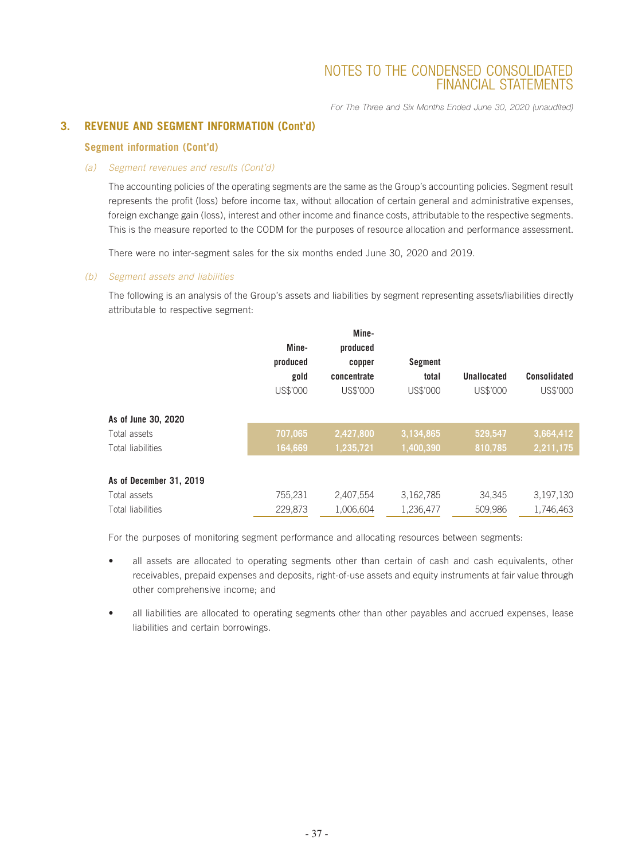*For The Three and Six Months Ended June 30, 2020 (unaudited)*

## **3. REVENUE AND SEGMENT INFORMATION (Cont'd)**

#### **Segment information (Cont'd)**

#### *(a) Segment revenues and results (Cont'd)*

The accounting policies of the operating segments are the same as the Group's accounting policies. Segment result represents the profit (loss) before income tax, without allocation of certain general and administrative expenses, foreign exchange gain (loss), interest and other income and finance costs, attributable to the respective segments. This is the measure reported to the CODM for the purposes of resource allocation and performance assessment.

There were no inter-segment sales for the six months ended June 30, 2020 and 2019.

#### *(b) Segment assets and liabilities*

The following is an analysis of the Group's assets and liabilities by segment representing assets/liabilities directly attributable to respective segment:

|                          | Mine-<br>produced<br>gold<br>US\$'000 | Mine-<br>produced<br>copper<br>concentrate<br>US\$'000 | <b>Segment</b><br>total<br>US\$'000 | Unallocated<br>US\$'000 | <b>Consolidated</b><br>US\$'000 |
|--------------------------|---------------------------------------|--------------------------------------------------------|-------------------------------------|-------------------------|---------------------------------|
| As of June 30, 2020      |                                       |                                                        |                                     |                         |                                 |
| Total assets             | 707,065                               | 2,427,800                                              | 3,134,865                           | 529,547                 | 3,664,412                       |
| <b>Total liabilities</b> | 164,669                               | 1,235,721                                              | 1,400,390                           | 810,785                 | 2,211,175                       |
| As of December 31, 2019  |                                       |                                                        |                                     |                         |                                 |
| Total assets             | 755,231                               | 2,407,554                                              | 3,162,785                           | 34,345                  | 3,197,130                       |
| <b>Total liabilities</b> | 229.873                               | 1.006.604                                              | 1,236,477                           | 509.986                 | 1.746.463                       |

For the purposes of monitoring segment performance and allocating resources between segments:

- all assets are allocated to operating segments other than certain of cash and cash equivalents, other receivables, prepaid expenses and deposits, right-of-use assets and equity instruments at fair value through other comprehensive income; and
- all liabilities are allocated to operating segments other than other payables and accrued expenses, lease liabilities and certain borrowings.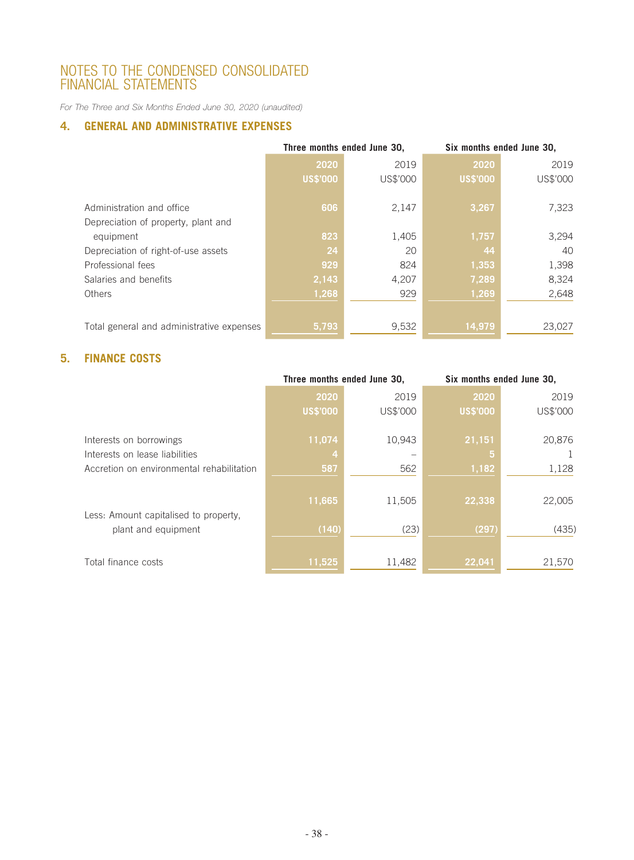*For The Three and Six Months Ended June 30, 2020 (unaudited)*

## **4. GENERAL AND ADMINISTRATIVE EXPENSES**

|                                           | Three months ended June 30, |          | Six months ended June 30, |          |
|-------------------------------------------|-----------------------------|----------|---------------------------|----------|
|                                           | 2020                        | 2019     | 2020                      | 2019     |
|                                           | <b>US\$'000</b>             | US\$'000 | <b>US\$'000</b>           | US\$'000 |
|                                           |                             |          |                           |          |
| Administration and office                 | 606                         | 2,147    | 3,267                     | 7,323    |
| Depreciation of property, plant and       |                             |          |                           |          |
| equipment                                 | 823                         | 1,405    | 1,757                     | 3,294    |
| Depreciation of right-of-use assets       | 24                          | 20       | 44                        | 40       |
| Professional fees                         | 929                         | 824      | 1,353                     | 1,398    |
| Salaries and benefits                     | 2,143                       | 4,207    | 7,289                     | 8,324    |
| <b>Others</b>                             | 1,268                       | 929      | 1,269                     | 2,648    |
|                                           |                             |          |                           |          |
| Total general and administrative expenses | 5,793                       | 9,532    | 14,979                    | 23,027   |

## **5. FINANCE COSTS**

|                                           | Three months ended June 30, |          | Six months ended June 30, |          |
|-------------------------------------------|-----------------------------|----------|---------------------------|----------|
|                                           | 2020                        | 2019     | 2020                      | 2019     |
|                                           | <b>US\$'000</b>             | US\$'000 | <b>US\$'000</b>           | US\$'000 |
| Interests on borrowings                   | 11,074                      | 10,943   | 21,151                    | 20,876   |
| Interests on lease liabilities            | 4                           |          | 5                         |          |
| Accretion on environmental rehabilitation | 587                         | 562      | 1,182                     | 1,128    |
| Less: Amount capitalised to property,     | 11,665                      | 11,505   | 22,338                    | 22,005   |
| plant and equipment                       | (140)                       | (23)     | (297)                     | (435)    |
| Total finance costs                       | 11,525                      | 11,482   | 22,041                    | 21,570   |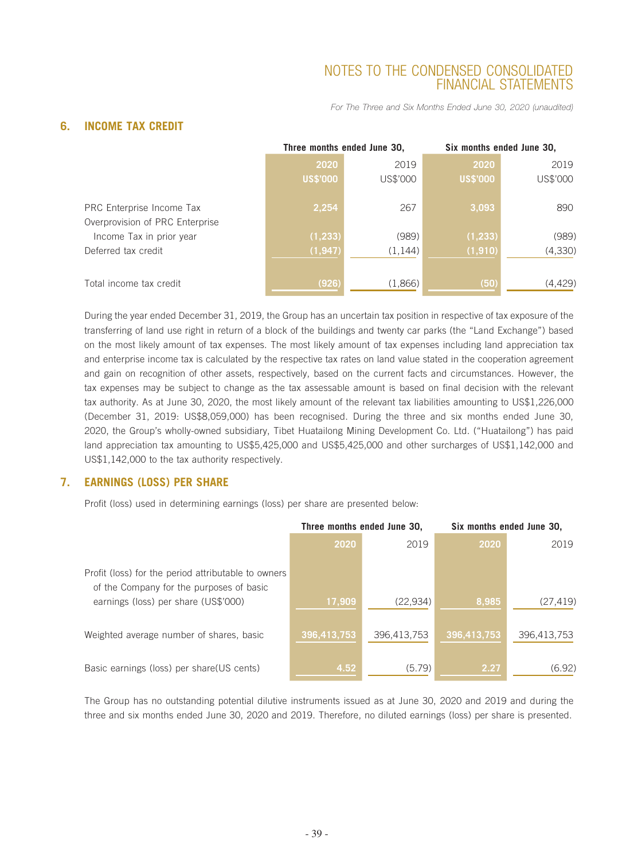*For The Three and Six Months Ended June 30, 2020 (unaudited)*

## **6. INCOME TAX CREDIT**

|                                 |                 | Three months ended June 30, | Six months ended June 30, |          |
|---------------------------------|-----------------|-----------------------------|---------------------------|----------|
|                                 | 2020            | 2019                        | 2020                      | 2019     |
|                                 | <b>US\$'000</b> | US\$'000                    | <b>US\$'000</b>           | US\$'000 |
|                                 |                 |                             |                           |          |
| PRC Enterprise Income Tax       | 2,254           | 267                         | 3,093                     | 890      |
| Overprovision of PRC Enterprise |                 |                             |                           |          |
| Income Tax in prior year        | (1, 233)        | (989)                       | (1, 233)                  | (989)    |
| Deferred tax credit             | (1, 947)        | (1, 144)                    | (1, 910)                  | (4, 330) |
|                                 |                 |                             |                           |          |
| Total income tax credit         | (926)           | (1,866)                     | (50)                      | (4,429)  |

During the year ended December 31, 2019, the Group has an uncertain tax position in respective of tax exposure of the transferring of land use right in return of a block of the buildings and twenty car parks (the "Land Exchange") based on the most likely amount of tax expenses. The most likely amount of tax expenses including land appreciation tax and enterprise income tax is calculated by the respective tax rates on land value stated in the cooperation agreement and gain on recognition of other assets, respectively, based on the current facts and circumstances. However, the tax expenses may be subject to change as the tax assessable amount is based on final decision with the relevant tax authority. As at June 30, 2020, the most likely amount of the relevant tax liabilities amounting to US\$1,226,000 (December 31, 2019: US\$8,059,000) has been recognised. During the three and six months ended June 30, 2020, the Group's wholly-owned subsidiary, Tibet Huatailong Mining Development Co. Ltd. ("Huatailong") has paid land appreciation tax amounting to US\$5,425,000 and US\$5,425,000 and other surcharges of US\$1,142,000 and US\$1,142,000 to the tax authority respectively.

## **7. EARNINGS (LOSS) PER SHARE**

Profit (loss) used in determining earnings (loss) per share are presented below:

|                                                                                                 | Three months ended June 30, |             | Six months ended June 30, |             |
|-------------------------------------------------------------------------------------------------|-----------------------------|-------------|---------------------------|-------------|
|                                                                                                 | 2020                        | 2019        | 2020                      | 2019        |
| Profit (loss) for the period attributable to owners<br>of the Company for the purposes of basic |                             |             |                           |             |
| earnings (loss) per share (US\$'000)                                                            | 17,909                      | (22, 934)   | 8,985                     | (27, 419)   |
| Weighted average number of shares, basic                                                        | 396,413,753                 | 396,413,753 | 396,413,753               | 396,413,753 |
| Basic earnings (loss) per share(US cents)                                                       | 4.52                        | (5.79)      | 2.27                      | (6.92)      |

The Group has no outstanding potential dilutive instruments issued as at June 30, 2020 and 2019 and during the three and six months ended June 30, 2020 and 2019. Therefore, no diluted earnings (loss) per share is presented.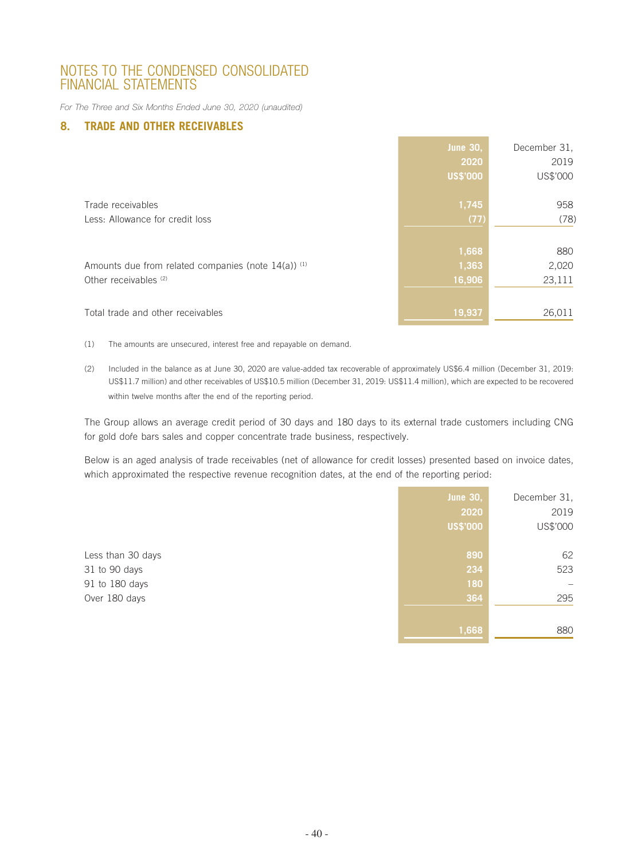*For The Three and Six Months Ended June 30, 2020 (unaudited)*

## **8. TRADE AND OTHER RECEIVABLES**

|                                                                                            | <b>June 30,</b><br>2020<br><b>US\$'000</b> | December 31.<br>2019<br>US\$'000 |
|--------------------------------------------------------------------------------------------|--------------------------------------------|----------------------------------|
| Trade receivables<br>Less: Allowance for credit loss                                       | 1,745<br>(77)                              | 958<br>(78)                      |
| Amounts due from related companies (note $14(a)$ ) <sup>(1)</sup><br>Other receivables (2) | 1,668<br> 1,363 <br>16,906                 | 880<br>2,020<br>23,111           |
| Total trade and other receivables                                                          | 19,937                                     | 26,011                           |

(1) The amounts are unsecured, interest free and repayable on demand.

(2) Included in the balance as at June 30, 2020 are value-added tax recoverable of approximately US\$6.4 million (December 31, 2019: US\$11.7 million) and other receivables of US\$10.5 million (December 31, 2019: US\$11.4 million), which are expected to be recovered within twelve months after the end of the reporting period.

The Group allows an average credit period of 30 days and 180 days to its external trade customers including CNG for gold dore bars sales and copper concentrate trade business, respectively.

Below is an aged analysis of trade receivables (net of allowance for credit losses) presented based on invoice dates, which approximated the respective revenue recognition dates, at the end of the reporting period:

|                   | <b>June 30,</b> | December 31, |
|-------------------|-----------------|--------------|
|                   | 2020            | 2019         |
|                   | <b>US\$'000</b> | US\$'000     |
|                   |                 |              |
| Less than 30 days | 890             | 62           |
| 31 to 90 days     | 234             | 523          |
| 91 to 180 days    | 180             |              |
| Over 180 days     | 364             | 295          |
|                   |                 |              |
|                   | 1,668           | 880          |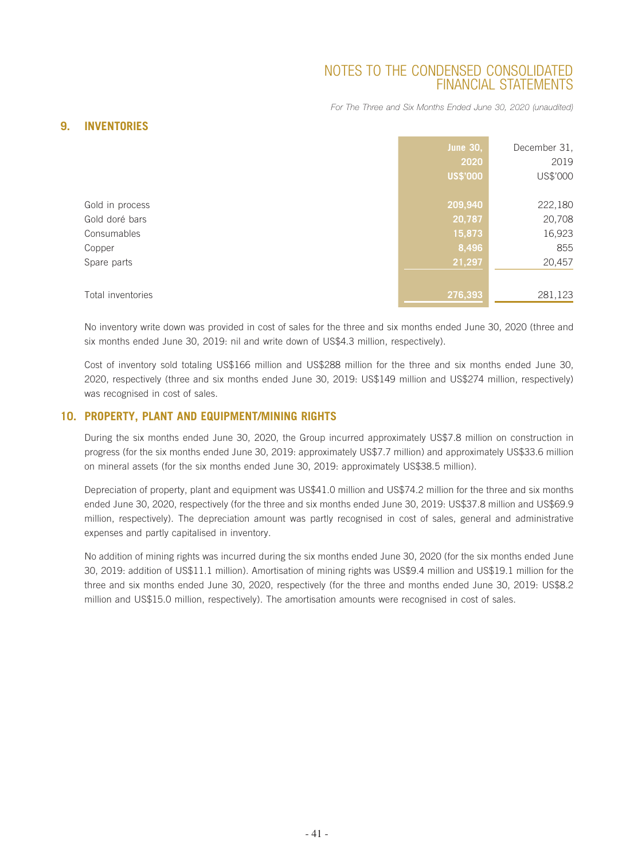*For The Three and Six Months Ended June 30, 2020 (unaudited)*

## **9. INVENTORIES**

|                   | <b>June 30,</b><br>2020<br><b>US\$'000</b> | December 31,<br>2019<br>US\$'000 |
|-------------------|--------------------------------------------|----------------------------------|
| Gold in process   | 209,940                                    | 222,180                          |
| Gold doré bars    | 20,787                                     | 20,708                           |
| Consumables       | 15,873                                     | 16,923                           |
| Copper            | 8,496                                      | 855                              |
| Spare parts       | 21,297                                     | 20,457                           |
|                   |                                            |                                  |
| Total inventories | 276,393                                    | 281,123                          |

No inventory write down was provided in cost of sales for the three and six months ended June 30, 2020 (three and six months ended June 30, 2019: nil and write down of US\$4.3 million, respectively).

Cost of inventory sold totaling US\$166 million and US\$288 million for the three and six months ended June 30, 2020, respectively (three and six months ended June 30, 2019: US\$149 million and US\$274 million, respectively) was recognised in cost of sales.

## **10. PROPERTY, PLANT AND EQUIPMENT/MINING RIGHTS**

During the six months ended June 30, 2020, the Group incurred approximately US\$7.8 million on construction in progress (for the six months ended June 30, 2019: approximately US\$7.7 million) and approximately US\$33.6 million on mineral assets (for the six months ended June 30, 2019: approximately US\$38.5 million).

Depreciation of property, plant and equipment was US\$41.0 million and US\$74.2 million for the three and six months ended June 30, 2020, respectively (for the three and six months ended June 30, 2019: US\$37.8 million and US\$69.9 million, respectively). The depreciation amount was partly recognised in cost of sales, general and administrative expenses and partly capitalised in inventory.

No addition of mining rights was incurred during the six months ended June 30, 2020 (for the six months ended June 30, 2019: addition of US\$11.1 million). Amortisation of mining rights was US\$9.4 million and US\$19.1 million for the three and six months ended June 30, 2020, respectively (for the three and months ended June 30, 2019: US\$8.2 million and US\$15.0 million, respectively). The amortisation amounts were recognised in cost of sales.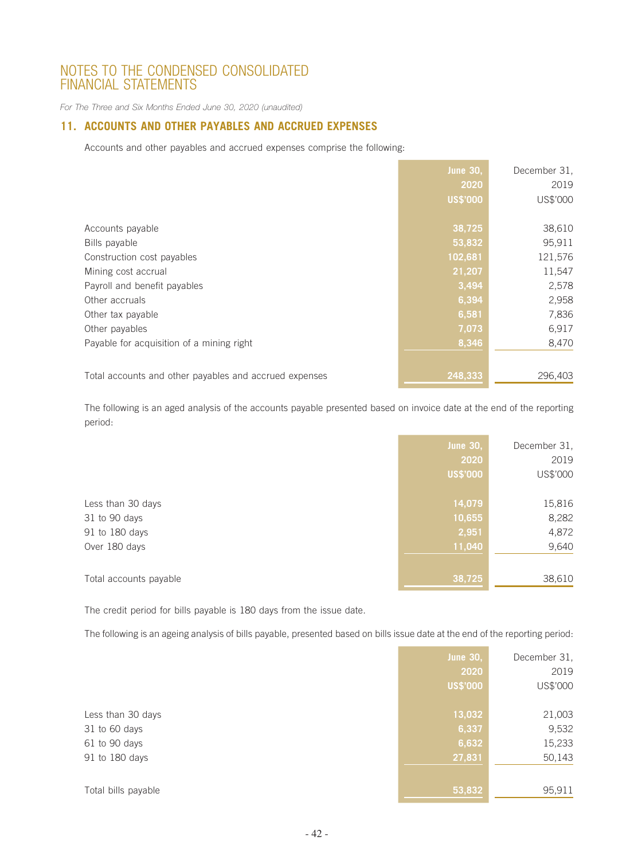*For The Three and Six Months Ended June 30, 2020 (unaudited)*

## **11. ACCOUNTS AND OTHER PAYABLES AND ACCRUED EXPENSES**

Accounts and other payables and accrued expenses comprise the following:

|                                                        | <b>June 30,</b> | December 31. |
|--------------------------------------------------------|-----------------|--------------|
|                                                        | 2020            | 2019         |
|                                                        | <b>US\$'000</b> | US\$'000     |
|                                                        |                 |              |
| Accounts payable                                       | 38,725          | 38,610       |
| Bills payable                                          | 53,832          | 95,911       |
| Construction cost payables                             | 102,681         | 121,576      |
| Mining cost accrual                                    | 21,207          | 11,547       |
| Payroll and benefit payables                           | 3,494           | 2,578        |
| Other accruals                                         | 6,394           | 2,958        |
| Other tax payable                                      | 6,581           | 7,836        |
| Other payables                                         | 7,073           | 6,917        |
| Payable for acquisition of a mining right              | 8,346           | 8,470        |
|                                                        |                 |              |
| Total accounts and other payables and accrued expenses | 248,333         | 296,403      |

The following is an aged analysis of the accounts payable presented based on invoice date at the end of the reporting period:

|                        | <b>June 30,</b> | December 31, |
|------------------------|-----------------|--------------|
|                        | 2020            | 2019         |
|                        | <b>US\$'000</b> | US\$'000     |
| Less than 30 days      | 14,079          | 15,816       |
| 31 to 90 days          | 10,655          | 8,282        |
| 91 to 180 days         | 2,951           | 4,872        |
| Over 180 days          | 11,040          | 9,640        |
| Total accounts payable | 38,725          | 38,610       |

The credit period for bills payable is 180 days from the issue date.

The following is an ageing analysis of bills payable, presented based on bills issue date at the end of the reporting period:

|                     | June 30,        | December 31, |
|---------------------|-----------------|--------------|
|                     | 2020            | 2019         |
|                     | <b>US\$'000</b> | US\$'000     |
|                     |                 |              |
| Less than 30 days   | 13,032          | 21,003       |
| 31 to 60 days       | 6,337           | 9,532        |
| 61 to 90 days       | 6,632           | 15,233       |
| 91 to 180 days      | 27,831          | 50,143       |
|                     |                 |              |
| Total bills payable | 53,832          | 95,911       |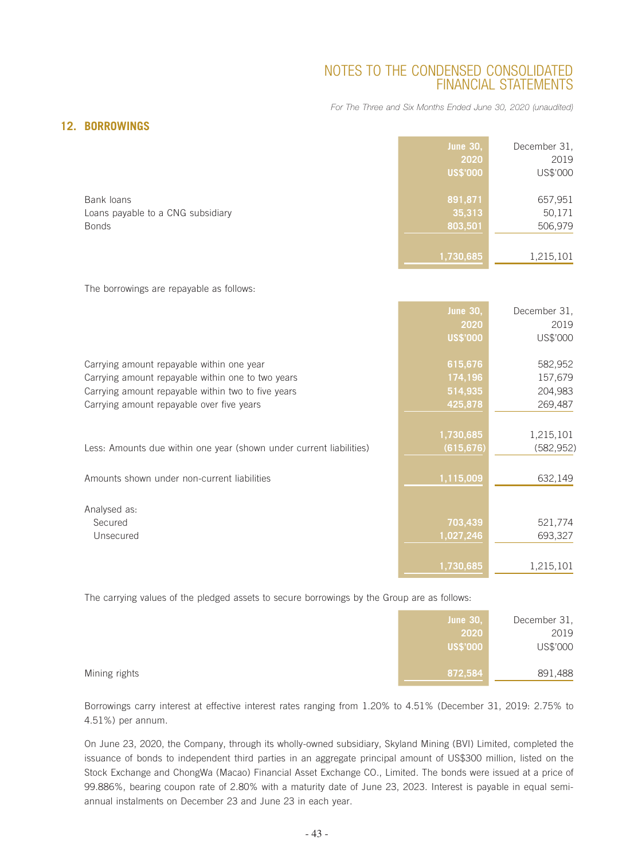*For The Three and Six Months Ended June 30, 2020 (unaudited)*

## **12. BORROWINGS**

|                                                                 | <b>June 30,</b><br>2020<br>US\$'000 | December 31,<br>2019<br>US\$'000 |
|-----------------------------------------------------------------|-------------------------------------|----------------------------------|
| Bank loans<br>Loans payable to a CNG subsidiary<br><b>Bonds</b> | 891,871<br>35,313<br>803,501        | 657,951<br>50,171<br>506,979     |
|                                                                 | 1,730,685                           | 1,215,101                        |

The borrowings are repayable as follows:

|                                                                     | <b>June 30,</b> | December 31, |
|---------------------------------------------------------------------|-----------------|--------------|
|                                                                     | 2020            | 2019         |
|                                                                     | <b>US\$'000</b> | US\$'000     |
| Carrying amount repayable within one year                           | 615,676         | 582,952      |
| Carrying amount repayable within one to two years                   | 174,196         | 157,679      |
|                                                                     |                 |              |
| Carrying amount repayable within two to five years                  | 514,935         | 204,983      |
| Carrying amount repayable over five years                           | 425,878         | 269,487      |
|                                                                     |                 |              |
|                                                                     | 1,730,685       | 1,215,101    |
| Less: Amounts due within one year (shown under current liabilities) | (615, 676)      | (582, 952)   |
|                                                                     |                 |              |
| Amounts shown under non-current liabilities                         | 1,115,009       | 632,149      |
|                                                                     |                 |              |
| Analysed as:                                                        |                 |              |
| Secured                                                             | 703,439         | 521,774      |
| Unsecured                                                           | 1,027,246       | 693,327      |
|                                                                     |                 |              |
|                                                                     |                 |              |
|                                                                     | 1,730,685       | 1,215,101    |

The carrying values of the pledged assets to secure borrowings by the Group are as follows:

|               | <b>June 30,</b> | December 31, |
|---------------|-----------------|--------------|
|               | 2020            | 2019         |
|               | US\$'000        | US\$'000     |
|               |                 |              |
| Mining rights | 872,584         | 891,488      |

Borrowings carry interest at effective interest rates ranging from 1.20% to 4.51% (December 31, 2019: 2.75% to 4.51%) per annum.

On June 23, 2020, the Company, through its wholly-owned subsidiary, Skyland Mining (BVI) Limited, completed the issuance of bonds to independent third parties in an aggregate principal amount of US\$300 million, listed on the Stock Exchange and ChongWa (Macao) Financial Asset Exchange CO., Limited. The bonds were issued at a price of 99.886%, bearing coupon rate of 2.80% with a maturity date of June 23, 2023. Interest is payable in equal semiannual instalments on December 23 and June 23 in each year.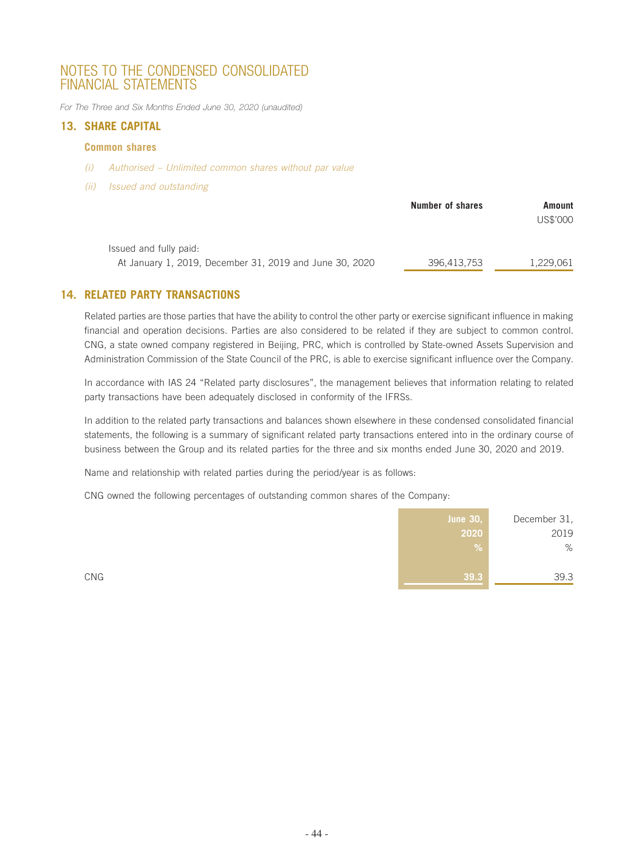*For The Three and Six Months Ended June 30, 2020 (unaudited)*

## **13. SHARE CAPITAL**

#### **Common shares**

- *(i) Authorised Unlimited common shares without par value*
- *(ii) Issued and outstanding*

|                                                                                   | Number of shares | Amount<br>US\$'000 |  |
|-----------------------------------------------------------------------------------|------------------|--------------------|--|
| Issued and fully paid:<br>At January 1, 2019, December 31, 2019 and June 30, 2020 | 396,413,753      | 1.229.061          |  |

## **14. RELATED PARTY TRANSACTIONS**

Related parties are those parties that have the ability to control the other party or exercise significant influence in making financial and operation decisions. Parties are also considered to be related if they are subject to common control. CNG, a state owned company registered in Beijing, PRC, which is controlled by State-owned Assets Supervision and Administration Commission of the State Council of the PRC, is able to exercise significant influence over the Company.

In accordance with IAS 24 "Related party disclosures", the management believes that information relating to related party transactions have been adequately disclosed in conformity of the IFRSs.

In addition to the related party transactions and balances shown elsewhere in these condensed consolidated financial statements, the following is a summary of significant related party transactions entered into in the ordinary course of business between the Group and its related parties for the three and six months ended June 30, 2020 and 2019.

Name and relationship with related parties during the period/year is as follows:

CNG owned the following percentages of outstanding common shares of the Company:

|     | <b>June 30,</b> | December 31, |
|-----|-----------------|--------------|
|     | 2020            | 2019         |
|     | $\sqrt{2}$      | %            |
|     |                 |              |
| CNG | 39.3            | 39.3         |
|     |                 |              |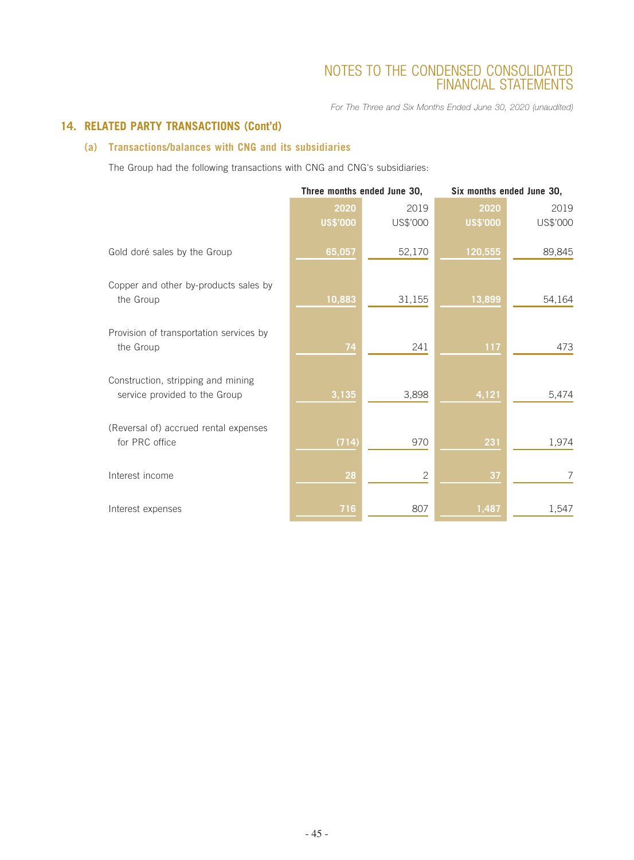*For The Three and Six Months Ended June 30, 2020 (unaudited)*

## **14. RELATED PARTY TRANSACTIONS (Cont'd)**

## **(a) Transactions/balances with CNG and its subsidiaries**

The Group had the following transactions with CNG and CNG's subsidiaries:

|                                                                     | Three months ended June 30, |                | Six months ended June 30, |          |
|---------------------------------------------------------------------|-----------------------------|----------------|---------------------------|----------|
|                                                                     | 2020                        | 2019           | 2020                      | 2019     |
|                                                                     | US\$'000                    | US\$'000       | <b>US\$'000</b>           | US\$'000 |
| Gold doré sales by the Group                                        | 65,057                      | 52,170         | 120,555                   | 89,845   |
| Copper and other by-products sales by<br>the Group                  | 10,883                      | 31,155         | 13,899                    | 54,164   |
| Provision of transportation services by<br>the Group                | 74                          | 241            | 117                       | 473      |
| Construction, stripping and mining<br>service provided to the Group | 3,135                       | 3,898          | 4,121                     | 5,474    |
| (Reversal of) accrued rental expenses<br>for PRC office             | (714)                       | 970            | 231                       | 1,974    |
| Interest income                                                     | 28                          | $\overline{2}$ | 37                        | 7        |
| Interest expenses                                                   | 716                         | 807            | 1,487                     | 1,547    |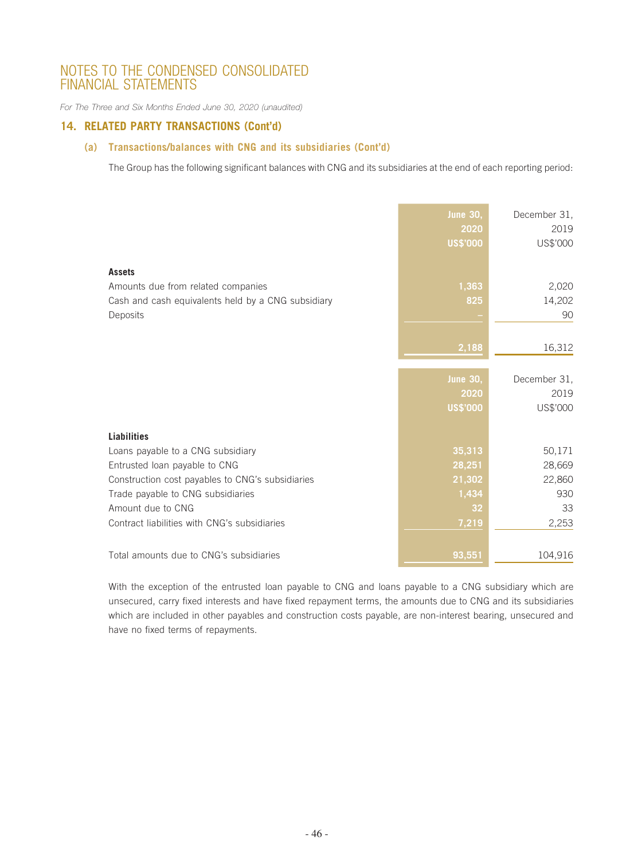*For The Three and Six Months Ended June 30, 2020 (unaudited)*

## **14. RELATED PARTY TRANSACTIONS (Cont'd)**

## **(a) Transactions/balances with CNG and its subsidiaries (Cont'd)**

The Group has the following significant balances with CNG and its subsidiaries at the end of each reporting period:

|                                                                                                                                                                                                                                                        | <b>June 30,</b><br>2020<br><b>US\$'000</b>         | December 31,<br>2019<br>US\$'000                 |
|--------------------------------------------------------------------------------------------------------------------------------------------------------------------------------------------------------------------------------------------------------|----------------------------------------------------|--------------------------------------------------|
| <b>Assets</b><br>Amounts due from related companies<br>Cash and cash equivalents held by a CNG subsidiary<br>Deposits                                                                                                                                  | 1,363<br>825                                       | 2,020<br>14,202<br>90                            |
|                                                                                                                                                                                                                                                        | 2,188                                              | 16,312                                           |
|                                                                                                                                                                                                                                                        | <b>June 30,</b><br>2020<br><b>US\$'000</b>         | December 31,<br>2019<br>US\$'000                 |
| <b>Liabilities</b><br>Loans payable to a CNG subsidiary<br>Entrusted loan payable to CNG<br>Construction cost payables to CNG's subsidiaries<br>Trade payable to CNG subsidiaries<br>Amount due to CNG<br>Contract liabilities with CNG's subsidiaries | 35,313<br>28,251<br>21,302<br>1,434<br>32<br>7,219 | 50,171<br>28,669<br>22,860<br>930<br>33<br>2,253 |
| Total amounts due to CNG's subsidiaries                                                                                                                                                                                                                | 93,551                                             | 104,916                                          |

With the exception of the entrusted loan payable to CNG and loans payable to a CNG subsidiary which are unsecured, carry fixed interests and have fixed repayment terms, the amounts due to CNG and its subsidiaries which are included in other payables and construction costs payable, are non-interest bearing, unsecured and have no fixed terms of repayments.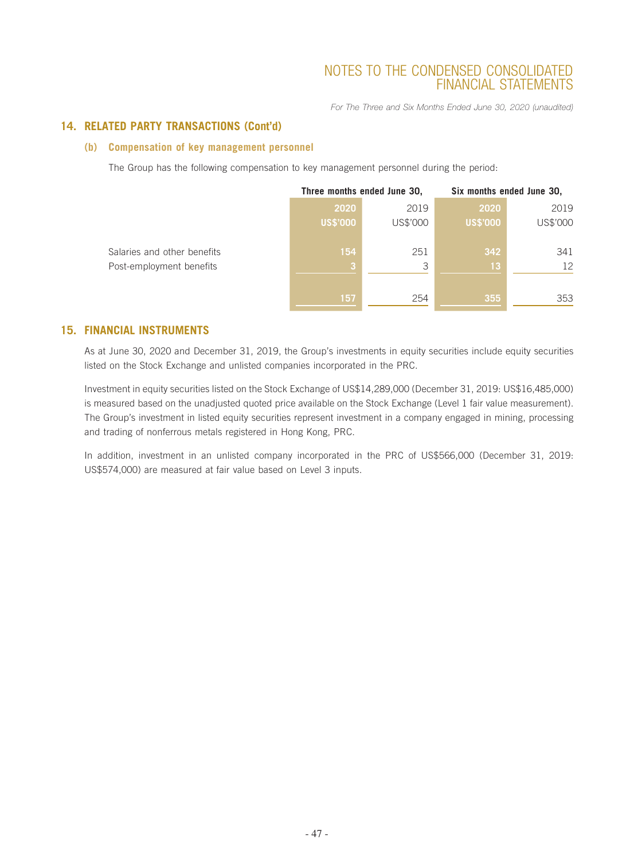*For The Three and Six Months Ended June 30, 2020 (unaudited)*

## **14. RELATED PARTY TRANSACTIONS (Cont'd)**

#### **(b) Compensation of key management personnel**

The Group has the following compensation to key management personnel during the period:

|                             | Three months ended June 30, |          | Six months ended June 30, |          |
|-----------------------------|-----------------------------|----------|---------------------------|----------|
|                             | 2020                        | 2019     | 2020                      | 2019     |
|                             | <b>US\$'000</b>             | US\$'000 | <b>US\$'000</b>           | US\$'000 |
| Salaries and other benefits | 154                         | 251      | 342                       | 341      |
| Post-employment benefits    | 3                           | 3        | 13                        | 12       |
|                             | 157                         | 254      | 355                       | 353      |

## **15. FINANCIAL INSTRUMENTS**

As at June 30, 2020 and December 31, 2019, the Group's investments in equity securities include equity securities listed on the Stock Exchange and unlisted companies incorporated in the PRC.

Investment in equity securities listed on the Stock Exchange of US\$14,289,000 (December 31, 2019: US\$16,485,000) is measured based on the unadjusted quoted price available on the Stock Exchange (Level 1 fair value measurement). The Group's investment in listed equity securities represent investment in a company engaged in mining, processing and trading of nonferrous metals registered in Hong Kong, PRC.

In addition, investment in an unlisted company incorporated in the PRC of US\$566,000 (December 31, 2019: US\$574,000) are measured at fair value based on Level 3 inputs.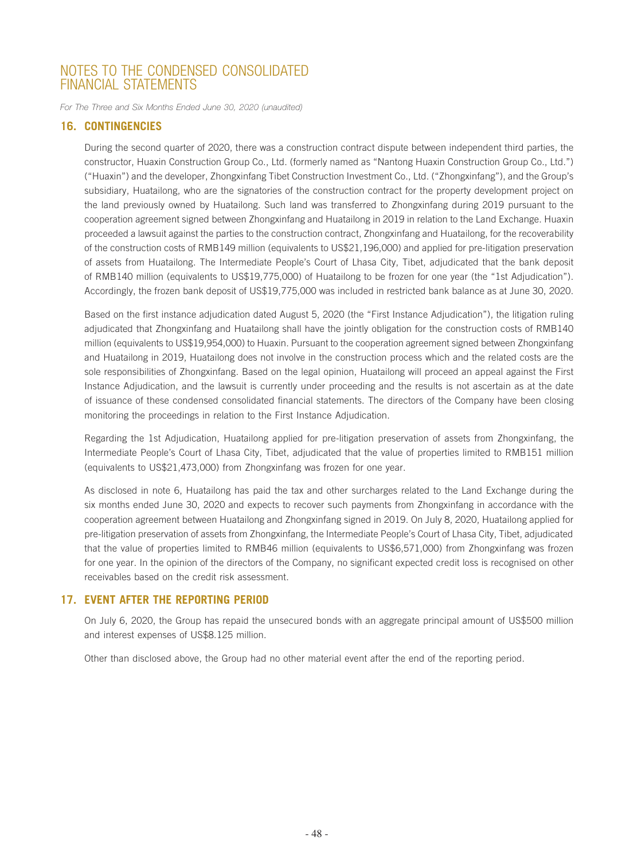*For The Three and Six Months Ended June 30, 2020 (unaudited)*

## **16. CONTINGENCIES**

During the second quarter of 2020, there was a construction contract dispute between independent third parties, the constructor, Huaxin Construction Group Co., Ltd. (formerly named as "Nantong Huaxin Construction Group Co., Ltd.") ("Huaxin") and the developer, Zhongxinfang Tibet Construction Investment Co., Ltd. ("Zhongxinfang"), and the Group's subsidiary, Huatailong, who are the signatories of the construction contract for the property development project on the land previously owned by Huatailong. Such land was transferred to Zhongxinfang during 2019 pursuant to the cooperation agreement signed between Zhongxinfang and Huatailong in 2019 in relation to the Land Exchange. Huaxin proceeded a lawsuit against the parties to the construction contract, Zhongxinfang and Huatailong, for the recoverability of the construction costs of RMB149 million (equivalents to US\$21,196,000) and applied for pre-litigation preservation of assets from Huatailong. The Intermediate People's Court of Lhasa City, Tibet, adjudicated that the bank deposit of RMB140 million (equivalents to US\$19,775,000) of Huatailong to be frozen for one year (the "1st Adjudication"). Accordingly, the frozen bank deposit of US\$19,775,000 was included in restricted bank balance as at June 30, 2020.

Based on the first instance adjudication dated August 5, 2020 (the "First Instance Adjudication"), the litigation ruling adjudicated that Zhongxinfang and Huatailong shall have the jointly obligation for the construction costs of RMB140 million (equivalents to US\$19,954,000) to Huaxin. Pursuant to the cooperation agreement signed between Zhongxinfang and Huatailong in 2019, Huatailong does not involve in the construction process which and the related costs are the sole responsibilities of Zhongxinfang. Based on the legal opinion, Huatailong will proceed an appeal against the First Instance Adjudication, and the lawsuit is currently under proceeding and the results is not ascertain as at the date of issuance of these condensed consolidated financial statements. The directors of the Company have been closing monitoring the proceedings in relation to the First Instance Adjudication.

Regarding the 1st Adjudication, Huatailong applied for pre-litigation preservation of assets from Zhongxinfang, the Intermediate People's Court of Lhasa City, Tibet, adjudicated that the value of properties limited to RMB151 million (equivalents to US\$21,473,000) from Zhongxinfang was frozen for one year.

As disclosed in note 6, Huatailong has paid the tax and other surcharges related to the Land Exchange during the six months ended June 30, 2020 and expects to recover such payments from Zhongxinfang in accordance with the cooperation agreement between Huatailong and Zhongxinfang signed in 2019. On July 8, 2020, Huatailong applied for pre-litigation preservation of assets from Zhongxinfang, the Intermediate People's Court of Lhasa City, Tibet, adjudicated that the value of properties limited to RMB46 million (equivalents to US\$6,571,000) from Zhongxinfang was frozen for one year. In the opinion of the directors of the Company, no significant expected credit loss is recognised on other receivables based on the credit risk assessment.

#### **17. EVENT AFTER THE REPORTING PERIOD**

On July 6, 2020, the Group has repaid the unsecured bonds with an aggregate principal amount of US\$500 million and interest expenses of US\$8.125 million.

Other than disclosed above, the Group had no other material event after the end of the reporting period.